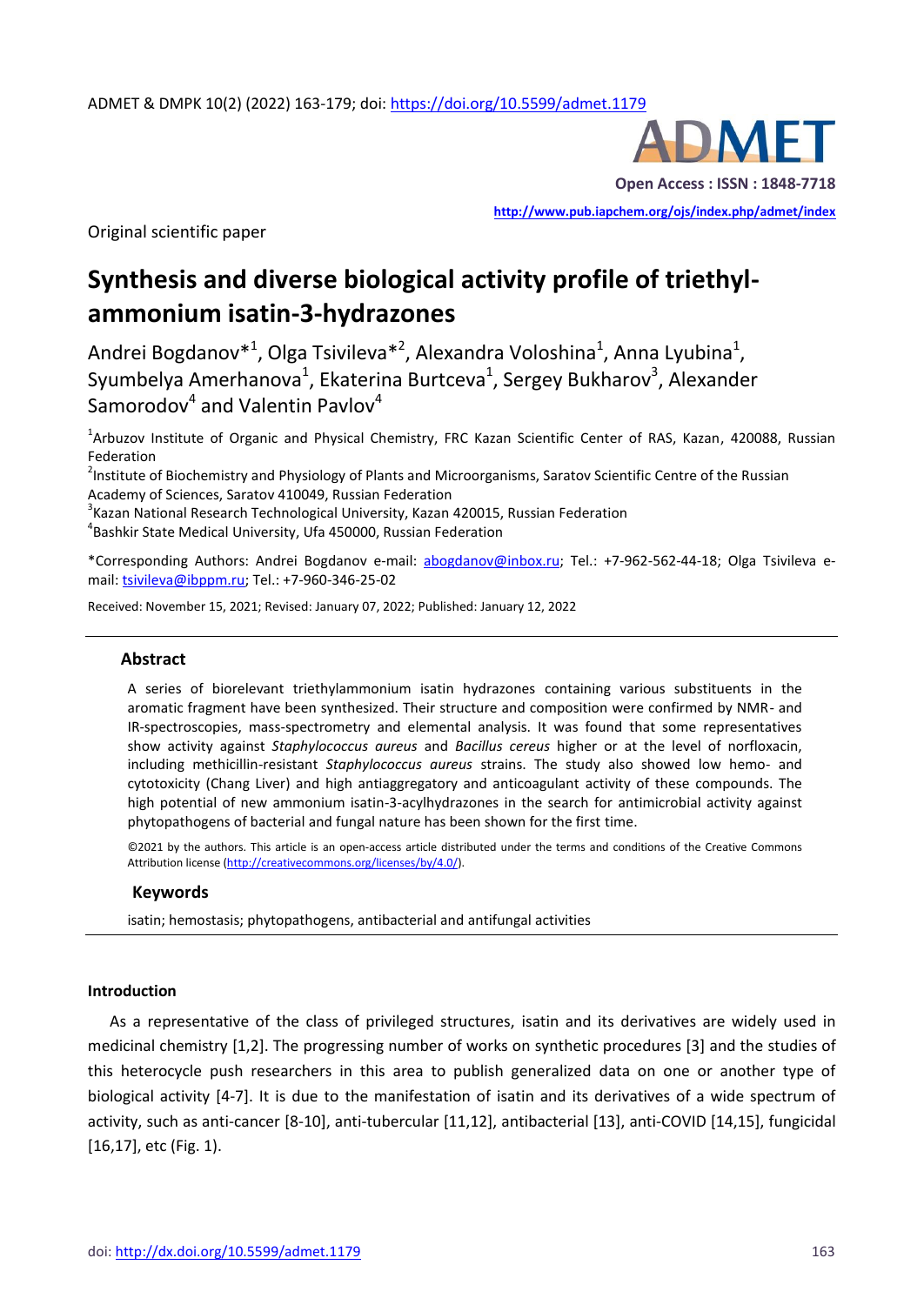

Original scientific paper

**<http://www.pub.iapchem.org/ojs/index.php/admet/index>** 

# **Synthesis and diverse biological activity profile of triethylammonium isatin-3-hydrazones**

Andrei Bogdanov $^{*1}$ , Olga Tsivileva $^{*2}$ , Alexandra Voloshina<sup>1</sup>, Anna Lyubina<sup>1</sup>, Syumbelya Amerhanova<sup>1</sup>, Ekaterina Burtceva<sup>1</sup>, Sergey Bukharov<sup>3</sup>, Alexander Samorodov $^4$  and Valentin Pavlov $^4$ 

<sup>1</sup>Arbuzov Institute of Organic and Physical Chemistry, FRC Kazan Scientific Center of RAS, Kazan, 420088, Russian Federation

<sup>2</sup>Institute of Biochemistry and Physiology of Plants and Microorganisms, Saratov Scientific Centre of the Russian Academy of Sciences, Saratov 410049, Russian Federation

 $3$ Kazan National Research Technological University, Kazan 420015, Russian Federation 4 Bashkir State Medical University, Ufa 450000, Russian Federation

\*Corresponding Authors: Andrei Bogdanov e-mail: [abogdanov@inbox.ru;](mailto:abogdanov@inbox.ru) Tel.: +7-962-562-44-18; Olga Tsivileva email: [tsivileva@ibppm.ru;](mailto:tsivileva@ibppm.ru) Tel.: +7-960-346-25-02

Received: November 15, 2021; Revised: January 07, 2022; Published: January 12, 2022

#### **Abstract**

A series of biorelevant triethylammonium isatin hydrazones containing various substituents in the aromatic fragment have been synthesized. Their structure and composition were confirmed by NMR- and IR-spectroscopies, mass-spectrometry and elemental analysis. It was found that some representatives show activity against *Staphylococcus aureus* and *Bacillus cereus* higher or at the level of norfloxacin, including methicillin-resistant *Staphylococcus aureus* strains. The study also showed low hemo- and cytotoxicity (Chang Liver) and high antiaggregatory and anticoagulant activity of these compounds. The high potential of new ammonium isatin-3-acylhydrazones in the search for antimicrobial activity against phytopathogens of bacterial and fungal nature has been shown for the first time.

©2021 by the authors. This article is an open-access article distributed under the terms and conditions of the Creative Commons Attribution license [\(http://creativecommons.org/licenses/by/4.0/\)](http://creativecommons.org/licenses/by/4.0/).

#### **Keywords**

isatin; hemostasis; phytopathogens, antibacterial and antifungal activities

### **Introduction**

As a representative of the class of privileged structures, isatin and its derivatives are widely used in medicinal chemistry [1,2]. The progressing number of works on synthetic procedures [3] and the studies of this heterocycle push researchers in this area to publish generalized data on one or another type of biological activity [4-7]. It is due to the manifestation of isatin and its derivatives of a wide spectrum of activity, such as anti-cancer [8-10], anti-tubercular [11,12], antibacterial [13], anti-COVID [14,15], fungicidal [16,17], etc (Fig. 1).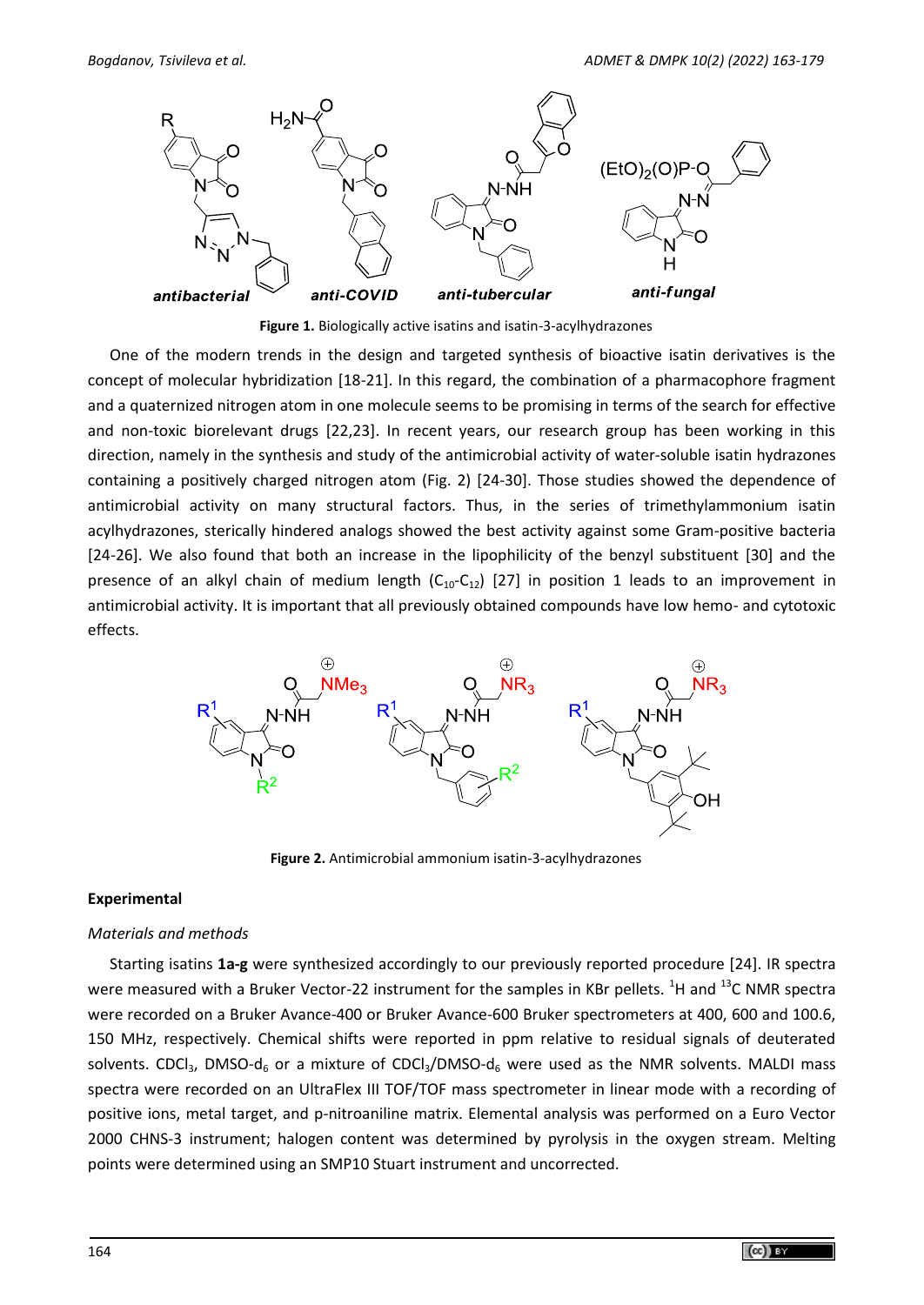

**Figure 1.** Biologically active isatins and isatin-3-acylhydrazones

One of the modern trends in the design and targeted synthesis of bioactive isatin derivatives is the concept of molecular hybridization [18-21]. In this regard, the combination of a pharmacophore fragment and a quaternized nitrogen atom in one molecule seems to be promising in terms of the search for effective and non-toxic biorelevant drugs [22,23]. In recent years, our research group has been working in this direction, namely in the synthesis and study of the antimicrobial activity of water-soluble isatin hydrazones containing a positively charged nitrogen atom (Fig. 2) [24-30]. Those studies showed the dependence of antimicrobial activity on many structural factors. Thus, in the series of trimethylammonium isatin acylhydrazones, sterically hindered analogs showed the best activity against some Gram-positive bacteria [24-26]. We also found that both an increase in the lipophilicity of the benzyl substituent [30] and the presence of an alkyl chain of medium length  $(C_{10}-C_{12})$  [27] in position 1 leads to an improvement in antimicrobial activity. It is important that all previously obtained compounds have low hemo- and cytotoxic effects.



**Figure 2.** Antimicrobial ammonium isatin-3-acylhydrazones

### **Experimental**

### *Materials and methods*

Starting isatins **1a-g** were synthesized accordingly to our previously reported procedure [24]. IR spectra were measured with a Bruker Vector-22 instrument for the samples in KBr pellets. <sup>1</sup>H and <sup>13</sup>C NMR spectra were recorded on a Bruker Avance-400 or Bruker Avance-600 Bruker spectrometers at 400, 600 and 100.6, 150 MHz, respectively. Chemical shifts were reported in ppm relative to residual signals of deuterated solvents. CDCl<sub>3</sub>, DMSO-d<sub>6</sub> or a mixture of CDCl<sub>3</sub>/DMSO-d<sub>6</sub> were used as the NMR solvents. MALDI mass spectra were recorded on an UltraFlex III TOF/TOF mass spectrometer in linear mode with a recording of positive ions, metal target, and p-nitroaniline matrix. Elemental analysis was performed on a Euro Vector 2000 CHNS-3 instrument; halogen content was determined by pyrolysis in the oxygen stream. Melting points were determined using an SMP10 Stuart instrument and uncorrected.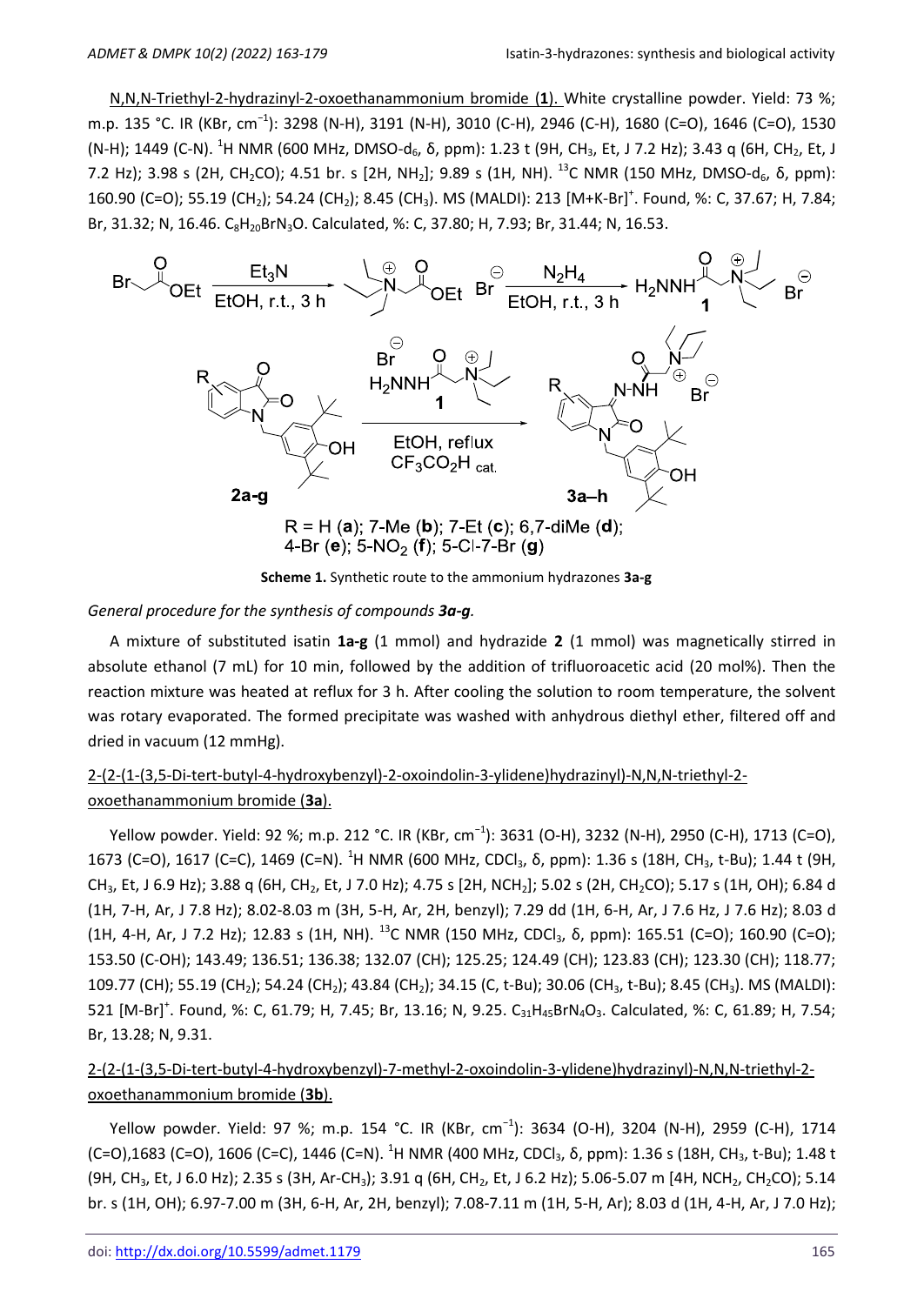N,N,N-Triethyl-2-hydrazinyl-2-oxoethanammonium bromide (**1**). White crystalline powder. Yield: 73 %; m.p. 135 °C. IR (KBr, cm−1): 3298 (N-H), 3191 (N-H), 3010 (C-H), 2946 (C-H), 1680 (C=O), 1646 (С=О), 1530 (N-H); 1449 (C-N). <sup>1</sup>H NMR (600 MHz, DMSO-d<sub>6</sub>, δ, ppm): 1.23 t (9H, CH<sub>3</sub>, Et, J 7.2 Hz); 3.43 q (6H, CH<sub>2</sub>, Et, J 7.2 Hz); 3.98 s (2H, CH<sub>2</sub>CO); 4.51 br. s [2H, NH<sub>2</sub>]; 9.89 s (1H, NH). <sup>13</sup>C NMR (150 MHz, DMSO-d<sub>6</sub>,  $\delta$ , ppm): 160.90 (C=O); 55.19 (CH<sub>2</sub>); 54.24 (CH<sub>2</sub>); 8.45 (CH<sub>3</sub>). MS (MALDI): 213 [M+K-Br]<sup>+</sup>. Found, %: C, 37.67; H, 7.84; Br, 31.32; N, 16.46. C<sub>8</sub>H<sub>20</sub>BrN<sub>3</sub>O. Calculated, %: C, 37.80; H, 7.93; Br, 31.44; N, 16.53.



**Scheme 1.** Synthetic route to the ammonium hydrazones **3a-g**

#### *General procedure for the synthesis of compounds 3a-g.*

A mixture of substituted isatin **1a-g** (1 mmol) and hydrazide **2** (1 mmol) was magnetically stirred in absolute ethanol (7 mL) for 10 min, followed by the addition of trifluoroacetic acid (20 mol%). Then the reaction mixture was heated at reflux for 3 h. After cooling the solution to room temperature, the solvent was rotary evaporated. The formed precipitate was washed with anhydrous diethyl ether, filtered off and dried in vacuum (12 mmHg).

# 2-(2-(1-(3,5-Di-tert-butyl-4-hydroxybenzyl)-2-oxoindolin-3-ylidene)hydrazinyl)-N,N,N-triethyl-2 oxoethanammonium bromide (**3a**).

Yellow powder. Yield: 92 %; m.p. 212 °C. IR (KBr, cm<sup>-1</sup>): 3631 (O-H), 3232 (N-H), 2950 (C-H), 1713 (C=O), 1673 (C=O), 1617 (C=C), 1469 (C=N). <sup>1</sup>H NMR (600 MHz, CDCl<sub>3</sub>, δ, ppm): 1.36 s (18H, CH<sub>3</sub>, t-Bu); 1.44 t (9H, CH<sub>3</sub>, Et, J 6.9 Hz); 3.88 q (6H, CH<sub>2</sub>, Et, J 7.0 Hz); 4.75 s [2H, NCH<sub>2</sub>]; 5.02 s (2H, CH<sub>2</sub>CO); 5.17 s (1H, OH); 6.84 d (1Н, 7-H, Ar, J 7.8 Hz); 8.02-8.03 m (3Н, 5-H, Ar, 2H, benzyl); 7.29 dd (1Н, 6-H, Ar, J 7.6 Hz, J 7.6 Hz); 8.03 d (1H, 4-H, Ar, J 7.2 Hz); 12.83 s (1H, NH). <sup>13</sup>C NMR (150 MHz, CDCl<sub>3</sub>,  $\delta$ , ppm): 165.51 (C=O); 160.90 (C=O); 153.50 (C-OH); 143.49; 136.51; 136.38; 132.07 (CH); 125.25; 124.49 (CH); 123.83 (CH); 123.30 (CH); 118.77; 109.77 (CH); 55.19 (CH<sub>2</sub>); 54.24 (CH<sub>2</sub>); 43.84 (CH<sub>2</sub>); 34.15 (C, t-Bu); 30.06 (CH<sub>3</sub>, t-Bu); 8.45 (CH<sub>3</sub>). MS (MALDI): 521  $[M-Br]^+$ . Found, %: C, 61.79; H, 7.45; Br, 13.16; N, 9.25. C<sub>31</sub>H<sub>45</sub>BrN<sub>4</sub>O<sub>3</sub>. Calculated, %: C, 61.89; H, 7.54; Br, 13.28; N, 9.31.

# 2-(2-(1-(3,5-Di-tert-butyl-4-hydroxybenzyl)-7-methyl-2-oxoindolin-3-ylidene)hydrazinyl)-N,N,N-triethyl-2 oxoethanammonium bromide (**3b**).

Yellow powder. Yield: 97 %; m.p. 154 °C. IR (KBr, cm<sup>-1</sup>): 3634 (O-H), 3204 (N-H), 2959 (C-H), 1714 (C=O),1683 (C=O), 1606 (C=C), 1446 (C=N). <sup>1</sup>H NMR (400 MHz, CDCl<sub>3</sub>, δ, ppm): 1.36 s (18H, CH<sub>3</sub>, t-Bu); 1.48 t (9H, CH<sub>3</sub>, Et, J 6.0 Hz); 2.35 s (3H, Ar-CH<sub>3</sub>); 3.91 q (6H, CH<sub>2</sub>, Et, J 6.2 Hz); 5.06-5.07 m [4H, NCH<sub>2</sub>, CH<sub>2</sub>CO); 5.14 br. s (1Н, ОH); 6.97-7.00 m (3Н, 6-H, Ar, 2H, benzyl); 7.08-7.11 m (1Н, 5-H, Ar); 8.03 d (1H, 4-H, Ar, J 7.0 Hz);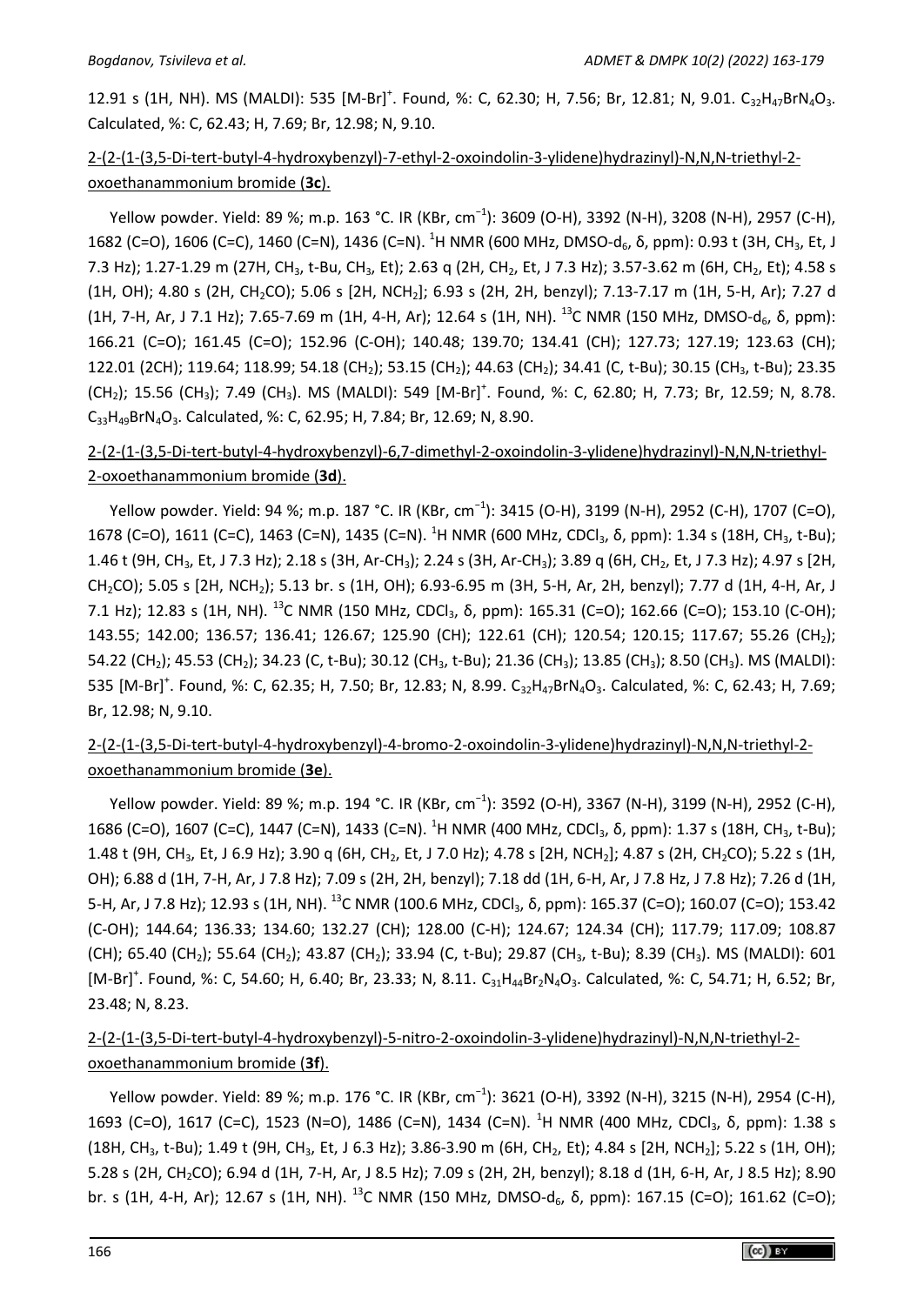12.91 s (1H, NH). MS (MALDI): 535  $[M-Br]^+$ . Found, %: C, 62.30; H, 7.56; Br, 12.81; N, 9.01. C<sub>32</sub>H<sub>47</sub>BrN<sub>4</sub>O<sub>3</sub>. Calculated, %: C, 62.43; H, 7.69; Br, 12.98; N, 9.10.

# 2-(2-(1-(3,5-Di-tert-butyl-4-hydroxybenzyl)-7-ethyl-2-oxoindolin-3-ylidene)hydrazinyl)-N,N,N-triethyl-2 oxoethanammonium bromide (**3c**).

Yellow powder. Yield: 89 %; m.p. 163 °C. IR (KBr, cm<sup>-1</sup>): 3609 (O-H), 3392 (N-H), 3208 (N-H), 2957 (C-H), 1682 (C=O), 1606 (C=C), 1460 (C=N), 1436 (C=N).  $^{1}$ H NMR (600 MHz, DMSO-d $_{6}$ , δ, ppm): 0.93 t (3H, CH $_{3}$ , Et, J 7.3 Hz); 1.27-1.29 m (27H, CH<sub>3</sub>, t-Bu, CH<sub>3</sub>, Et); 2.63 q (2H, CH<sub>2</sub>, Et, J 7.3 Hz); 3.57-3.62 m (6H, CH<sub>2</sub>, Et); 4.58 s (1H, OH); 4.80 s (2H, CH<sub>2</sub>CO); 5.06 s [2H, NCH<sub>2</sub>]; 6.93 s (2H, 2H, benzyl); 7.13-7.17 m (1H, 5-H, Ar); 7.27 d (1H, 7-H, Ar, J 7.1 Hz); 7.65-7.69 m (1H, 4-H, Ar); 12.64 s (1H, NH). <sup>13</sup>C NMR (150 MHz, DMSO-d<sub>6</sub>,  $\delta$ , ppm): 166.21 (C=O); 161.45 (C=O); 152.96 (C-OH); 140.48; 139.70; 134.41 (CH); 127.73; 127.19; 123.63 (CH); 122.01 (2CH); 119.64; 118.99; 54.18 (CH<sub>2</sub>); 53.15 (CH<sub>2</sub>); 44.63 (CH<sub>2</sub>); 34.41 (C, t-Bu); 30.15 (CH<sub>3</sub>, t-Bu); 23.35  $(CH<sub>2</sub>)$ ; 15.56 (CH<sub>3</sub>); 7.49 (CH<sub>3</sub>). MS (MALDI): 549 [M-Br]<sup>+</sup>. Found, %: C, 62.80; H, 7.73; Br, 12.59; N, 8.78. C<sub>33</sub>H<sub>49</sub>BrN<sub>4</sub>O<sub>3</sub>. Calculated, %: C, 62.95; H, 7.84; Br, 12.69; N, 8.90.

# 2-(2-(1-(3,5-Di-tert-butyl-4-hydroxybenzyl)-6,7-dimethyl-2-oxoindolin-3-ylidene)hydrazinyl)-N,N,N-triethyl-2-oxoethanammonium bromide (**3d**).

Yellow powder. Yield: 94 %; m.p. 187 °C. IR (KBr, cm<sup>-1</sup>): 3415 (O-H), 3199 (N-H), 2952 (C-H), 1707 (C=O), 1678 (C=O), 1611 (C=C), 1463 (C=N), 1435 (C=N). <sup>1</sup>H NMR (600 MHz, CDCl<sub>3</sub>, δ, ppm): 1.34 s (18H, CH<sub>3</sub>, t-Bu); 1.46 t (9H, CH<sub>3</sub>, Et, J 7.3 Hz); 2.18 s (3H, Ar-CH<sub>3</sub>); 2.24 s (3H, Ar-CH<sub>3</sub>); 3.89 q (6H, CH<sub>2</sub>, Et, J 7.3 Hz); 4.97 s [2H, CH2CO); 5.05 s [2Н, NCH2); 5.13 br. s (1Н, ОH); 6.93-6.95 m (3Н, 5-H, Ar, 2H, benzyl); 7.77 d (1H, 4-H, Ar, J 7.1 Hz); 12.83 s (1H, NH). <sup>13</sup>C NMR (150 MHz, CDCl<sub>3</sub>, δ, ppm): 165.31 (C=O); 162.66 (C=O); 153.10 (C-OH); 143.55; 142.00; 136.57; 136.41; 126.67; 125.90 (CH); 122.61 (CH); 120.54; 120.15; 117.67; 55.26 (CH2); 54.22 (CH<sub>2</sub>); 45.53 (CH<sub>2</sub>); 34.23 (C, t-Bu); 30.12 (CH<sub>3</sub>, t-Bu); 21.36 (CH<sub>3</sub>); 13.85 (CH<sub>3</sub>); 8.50 (CH<sub>3</sub>). MS (MALDI): 535  $[M-Br]^+$ . Found, %: C, 62.35; H, 7.50; Br, 12.83; N, 8.99. C<sub>32</sub>H<sub>47</sub>BrN<sub>4</sub>O<sub>3</sub>. Calculated, %: C, 62.43; H, 7.69; Br, 12.98; N, 9.10.

# 2-(2-(1-(3,5-Di-tert-butyl-4-hydroxybenzyl)-4-bromo-2-oxoindolin-3-ylidene)hydrazinyl)-N,N,N-triethyl-2 oxoethanammonium bromide (**3e**).

Yellow powder. Yield: 89 %; m.p. 194 °C. IR (KBr, cm<sup>-1</sup>): 3592 (O-H), 3367 (N-H), 3199 (N-H), 2952 (C-H), 1686 (C=O), 1607 (C=C), 1447 (C=N), 1433 (C=N). <sup>1</sup>H NMR (400 MHz, CDCl<sub>3</sub>, δ, ppm): 1.37 s (18H, CH<sub>3</sub>, t-Bu); 1.48 t (9H, CH<sub>3</sub>, Et, J 6.9 Hz); 3.90 q (6H, CH<sub>2</sub>, Et, J 7.0 Hz); 4.78 s [2H, NCH<sub>2</sub>]; 4.87 s (2H, CH<sub>2</sub>CO); 5.22 s (1H, ОH); 6.88 d (1Н, 7-H, Ar, J 7.8 Hz); 7.09 s (2Н, 2H, benzyl); 7.18 dd (1Н, 6-H, Ar, J 7.8 Hz, J 7.8 Hz); 7.26 d (1Н, 5-H, Ar, J 7.8 Hz); 12.93 s (1H, NH). <sup>13</sup>C NMR (100.6 MHz, CDCl<sub>3</sub>, δ, ppm): 165.37 (C=O); 160.07 (C=O); 153.42 (C-OH); 144.64; 136.33; 134.60; 132.27 (CH); 128.00 (C-H); 124.67; 124.34 (CH); 117.79; 117.09; 108.87 (CH); 65.40 (CH<sub>2</sub>); 55.64 (CH<sub>2</sub>); 43.87 (CH<sub>2</sub>); 33.94 (C, t-Bu); 29.87 (CH<sub>3</sub>, t-Bu); 8.39 (CH<sub>3</sub>). MS (MALDI): 601 [M-Br]<sup>+</sup>. Found, %: C, 54.60; H, 6.40; Br, 23.33; N, 8.11. C<sub>31</sub>H<sub>44</sub>Br<sub>2</sub>N<sub>4</sub>O<sub>3</sub>. Calculated, %: C, 54.71; H, 6.52; Br, 23.48; N, 8.23.

# 2-(2-(1-(3,5-Di-tert-butyl-4-hydroxybenzyl)-5-nitro-2-oxoindolin-3-ylidene)hydrazinyl)-N,N,N-triethyl-2 oxoethanammonium bromide (**3f**).

Yellow powder. Yield: 89 %; m.p. 176 °C. IR (KBr, cm<sup>-1</sup>): 3621 (O-H), 3392 (N-H), 3215 (N-H), 2954 (C-H), 1693 (C=O), 1617 (C=C), 1523 (N=O), 1486 (C=N), 1434 (C=N). <sup>1</sup>H NMR (400 MHz, CDCl<sub>3</sub>, δ, ppm): 1.38 s (18H, CH<sub>3</sub>, t-Bu); 1.49 t (9H, CH<sub>3</sub>, Et, J 6.3 Hz); 3.86-3.90 m (6H, CH<sub>2</sub>, Et); 4.84 s [2H, NCH<sub>2</sub>]; 5.22 s (1H, OH); 5.28 s (2Н, CH2CO); 6.94 d (1Н, 7-H, Ar, J 8.5 Hz); 7.09 s (2Н, 2H, benzyl); 8.18 d (1Н, 6-H, Ar, J 8.5 Hz); 8.90 br. s (1H, 4-H, Ar); 12.67 s (1H, NH). <sup>13</sup>C NMR (150 MHz, DMSO-d<sub>6</sub>, δ, ppm): 167.15 (C=O); 161.62 (C=O);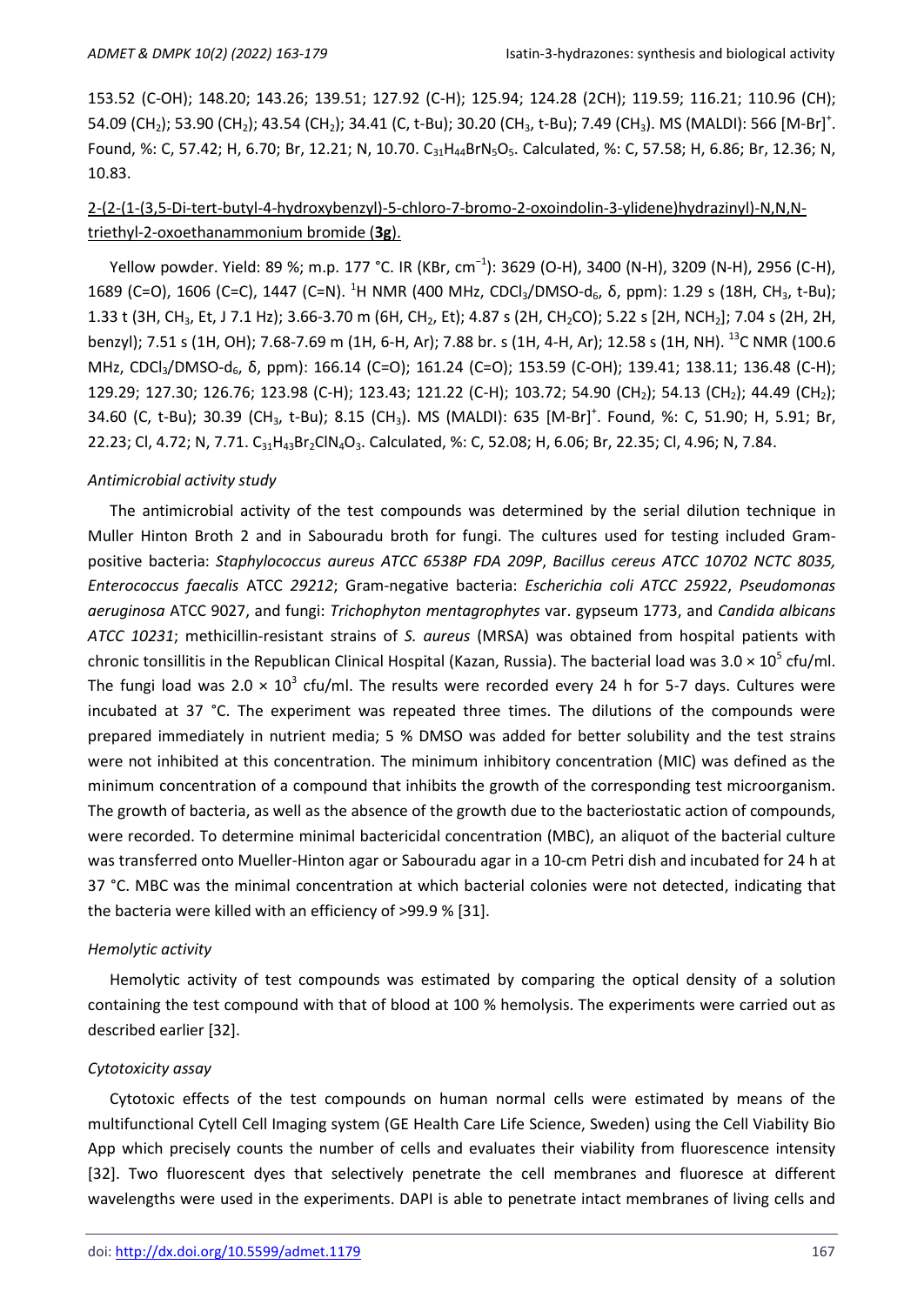153.52 (C-OH); 148.20; 143.26; 139.51; 127.92 (C-H); 125.94; 124.28 (2CH); 119.59; 116.21; 110.96 (CH); 54.09 (CH<sub>2</sub>); 53.90 (CH<sub>2</sub>); 43.54 (CH<sub>2</sub>); 34.41 (C, t-Bu); 30.20 (CH<sub>3</sub>, t-Bu); 7.49 (CH<sub>3</sub>). MS (MALDI): 566 [M-Br]<sup>+</sup>. Found, %: C, 57.42; H, 6.70; Br, 12.21; N, 10.70. C<sub>31</sub>H<sub>44</sub>BrN<sub>5</sub>O<sub>5</sub>. Calculated, %: C, 57.58; H, 6.86; Br, 12.36; N, 10.83.

# 2-(2-(1-(3,5-Di-tert-butyl-4-hydroxybenzyl)-5-chloro-7-bromo-2-oxoindolin-3-ylidene)hydrazinyl)-N,N,Ntriethyl-2-oxoethanammonium bromide (**3g**).

Yellow powder. Yield: 89 %; m.p. 177 °C. IR (KBr, cm<sup>-1</sup>): 3629 (O-H), 3400 (N-H), 3209 (N-H), 2956 (C-H), 1689 (C=O), 1606 (C=C), 1447 (C=N). <sup>1</sup>H NMR (400 MHz, CDCl<sub>3</sub>/DMSO-d<sub>6</sub>,  $\delta$ , ppm): 1.29 s (18H, CH<sub>3</sub>, t-Bu); 1.33 t (3H, CH<sub>3</sub>, Et, J 7.1 Hz); 3.66-3.70 m (6H, CH<sub>2</sub>, Et); 4.87 s (2H, CH<sub>2</sub>CO); 5.22 s [2H, NCH<sub>2</sub>]; 7.04 s (2H, 2H, benzyl); 7.51 s (1H, OH); 7.68-7.69 m (1H, 6-H, Ar); 7.88 br. s (1H, 4-H, Ar); 12.58 s (1H, NH). <sup>13</sup>C NMR (100.6 MHz, CDCl<sub>3</sub>/DMSO-d<sub>6</sub>, δ, ppm): 166.14 (C=O); 161.24 (C=O); 153.59 (C-OH); 139.41; 138.11; 136.48 (C-H); 129.29; 127.30; 126.76; 123.98 (C-H); 123.43; 121.22 (C-H); 103.72; 54.90 (CH<sub>2</sub>); 54.13 (CH<sub>2</sub>); 44.49 (CH<sub>2</sub>); 34.60 (C, t-Bu); 30.39 (CH<sub>3</sub>, t-Bu); 8.15 (CH<sub>3</sub>). MS (MALDI): 635 [M-Br]<sup>+</sup>. Found, %: C, 51.90; H, 5.91; Br, 22.23; Cl, 4.72; N, 7.71. C<sub>31</sub>H<sub>43</sub>Br<sub>2</sub>ClN<sub>4</sub>O<sub>3</sub>. Calculated, %: C, 52.08; H, 6.06; Br, 22.35; Cl, 4.96; N, 7.84.

#### *Antimicrobial activity study*

The antimicrobial activity of the test compounds was determined by the serial dilution technique in Muller Hinton Broth 2 and in Sabouradu broth for fungi. The cultures used for testing included Grampositive bacteria: *Staphylococcus aureus АТСС 6538Р FDA 209P*, *Bacillus cereus АТСС 10702 NCTC 8035, Enterococcus faecalis* ATCC *29212*; Gram-negative bacteria: *Escherichia coli ATCC 25922*, *Pseudomonas aeruginosa* ATCC 9027, and fungi: *Trichophyton mentagrophytes* var. gypseum 1773, and *Candida albiсans ATCC 10231*; methicillin-resistant strains of *S. aureus* (MRSA) was obtained from hospital patients with chronic tonsillitis in the Republican Clinical Hospital (Kazan, Russia). The bacterial load was 3.0  $\times$  10<sup>5</sup> cfu/ml. The fungi load was 2.0  $\times$  10<sup>3</sup> cfu/ml. The results were recorded every 24 h for 5-7 days. Cultures were incubated at 37 °C. The experiment was repeated three times. The dilutions of the compounds were prepared immediately in nutrient media; 5 % DMSO was added for better solubility and the test strains were not inhibited at this concentration. The minimum inhibitory concentration (MIC) was defined as the minimum concentration of a compound that inhibits the growth of the corresponding test microorganism. The growth of bacteria, as well as the absence of the growth due to the bacteriostatic action of compounds, were recorded. To determine minimal bactericidal concentration (MBC), an aliquot of the bacterial culture was transferred onto Mueller-Hinton agar or Sabouradu agar in a 10-cm Petri dish and incubated for 24 h at 37 °С. MBC was the minimal concentration at which bacterial colonies were not detected, indicating that the bacteria were killed with an efficiency of >99.9 % [31].

#### *Hemolytic activity*

Hemolytic activity of test compounds was estimated by comparing the optical density of a solution containing the test compound with that of blood at 100 % hemolysis. The experiments were carried out as described earlier [32].

### *Cytotoxicity assay*

Cytotoxic effects of the test compounds on human normal cells were estimated by means of the multifunctional Cytell Cell Imaging system (GE Health Care Life Science, Sweden) using the Cell Viability Bio App which precisely counts the number of cells and evaluates their viability from fluorescence intensity [32]. Two fluorescent dyes that selectively penetrate the cell membranes and fluoresce at different wavelengths were used in the experiments. DAPI is able to penetrate intact membranes of living cells and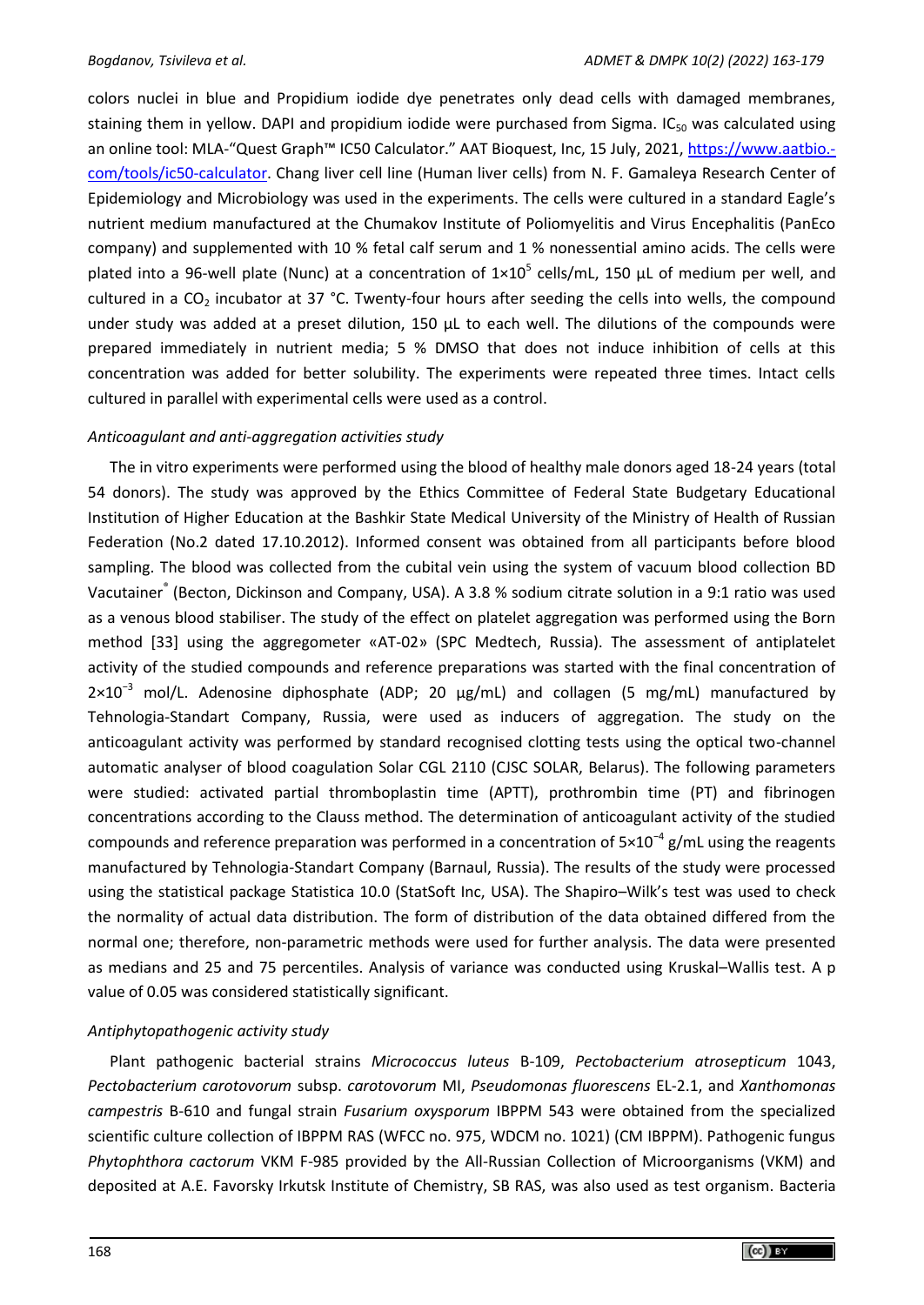colors nuclei in blue and Propidium iodide dye penetrates only dead cells with damaged membranes, staining them in yellow. DAPI and propidium iodide were purchased from Sigma.  $IC_{50}$  was calculated using an online tool: MLA-"Quest Graph™ IC50 Calculator." AAT Bioquest, Inc, 15 July, 2021, [https://www.aatbio.](https://www.aatbio.com/tools/ic50-calculator) [com/tools/ic50-calculator.](https://www.aatbio.com/tools/ic50-calculator) Chang liver cell line (Human liver cells) from N. F. Gamaleya Research Center of Epidemiology and Microbiology was used in the experiments. The cells were cultured in a standard Eagle's nutrient medium manufactured at the Chumakov Institute of Poliomyelitis and Virus Encephalitis (PanEco company) and supplemented with 10 % fetal calf serum and 1 % nonessential amino acids. The cells were plated into a 96-well plate (Nunc) at a concentration of  $1\times10^5$  cells/mL, 150  $\mu$ L of medium per well, and cultured in a  $CO<sub>2</sub>$  incubator at 37 °C. Twenty-four hours after seeding the cells into wells, the compound under study was added at a preset dilution, 150 μL to each well. The dilutions of the compounds were prepared immediately in nutrient media; 5 % DMSO that does not induce inhibition of cells at this concentration was added for better solubility. The experiments were repeated three times. Intact cells cultured in parallel with experimental cells were used as a control.

## *Anticoagulant and anti-aggregation activities study*

The in vitro experiments were performed using the blood of healthy male donors aged 18-24 years (total 54 donors). The study was approved by the Ethics Committee of Federal State Budgetary Educational Institution of Higher Education at the Bashkir State Medical University of the Ministry of Health of Russian Federation (No.2 dated 17.10.2012). Informed consent was obtained from all participants before blood sampling. The blood was collected from the cubital vein using the system of vacuum blood collection BD Vacutainer<sup>®</sup> (Becton, Dickinson and Company, USA). A 3.8 % sodium citrate solution in a 9:1 ratio was used as a venous blood stabiliser. The study of the effect on platelet aggregation was performed using the Born method [33] using the aggregometer «АТ-02» (SPC Medtech, Russia). The assessment of antiplatelet activity of the studied compounds and reference preparations was started with the final concentration of 2×10−3 mol/L. Adenosine diphosphate (ADP; 20 µg/mL) and collagen (5 mg/mL) manufactured by Tehnologia-Standart Company, Russia, were used as inducers of aggregation. The study on the anticoagulant activity was performed by standard recognised clotting tests using the optical two-channel automatic analyser of blood coagulation Solar CGL 2110 (CJSC SOLAR, Belarus). The following parameters were studied: activated partial thromboplastin time (APTT), prothrombin time (PT) and fibrinogen concentrations according to the Clauss method. The determination of anticoagulant activity of the studied compounds and reference preparation was performed in a concentration of  $5\times10^{-4}$  g/mL using the reagents manufactured by Tehnologia-Standart Company (Barnaul, Russia). The results of the study were processed using the statistical package Statistica 10.0 (StatSoft Inc, USA). The Shapiro–Wilk's test was used to check the normality of actual data distribution. The form of distribution of the data obtained differed from the normal one; therefore, non-parametric methods were used for further analysis. The data were presented as medians and 25 and 75 percentiles. Analysis of variance was conducted using Kruskal–Wallis test. A p value of 0.05 was considered statistically significant.

## *Antiphytopathogenic activity study*

Plant pathogenic bacterial strains *Micrococcus luteus* B-109, *Pectobacterium atrosepticum* 1043, *Pectobacterium carotovorum* subsp. *сarotovorum* MI, *Pseudomonas fluorescens* EL-2.1, and *Xanthomonas campestris* B-610 and fungal strain *Fusarium oxysporum* IBPPM 543 were obtained from the specialized scientific culture collection of IBPPM RAS (WFCC no. 975, WDCM no. 1021) (СМ IBPPM). Pathogenic fungus *Phytophthora cactorum* VKM F-985 provided by the All-Russian Collection of Microorganisms (VKM) and deposited at A.E. Favorsky Irkutsk Institute of Chemistry, SB RAS, was also used as test organism. Bacteria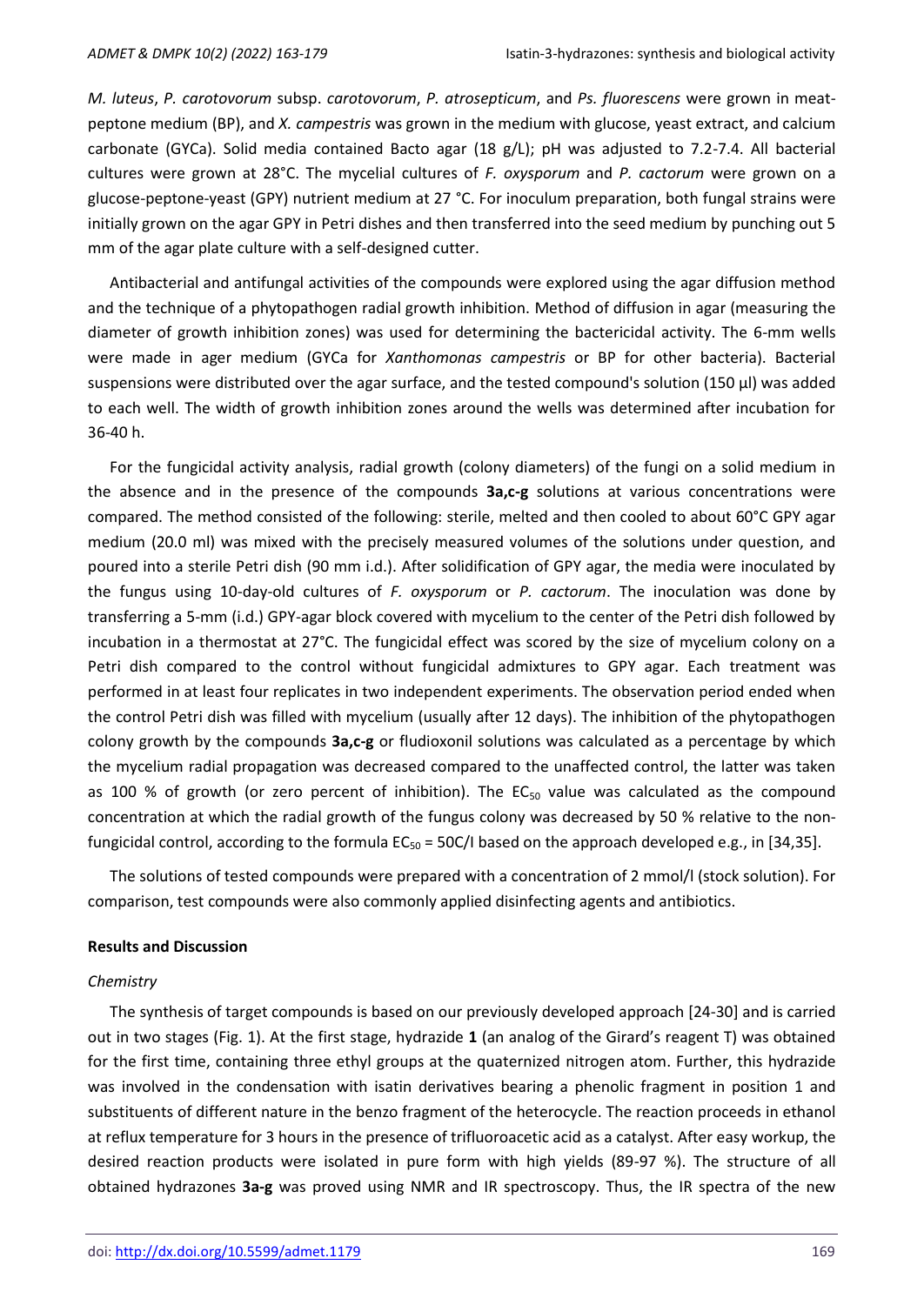*M. luteus*, *P. carotovorum* subsp. *сarotovorum*, *P. atrosepticum*, and *Ps. fluorescens* were grown in meatpeptone medium (BP), and *X. campestris* was grown in the medium with glucose, yeast extract, and calcium carbonate (GYCa). Solid media contained Bacto agar (18 g/L); pH was adjusted to 7.2-7.4. All bacterial cultures were grown at 28°C. The mycelial cultures of *F. oxysporum* and *P. cactorum* were grown on a glucose-peptone-yeast (GPY) nutrient medium at 27 °C. For inoculum preparation, both fungal strains were initially grown on the agar GPY in Petri dishes and then transferred into the seed medium by punching out 5 mm of the agar plate culture with a self-designed cutter.

Antibacterial and antifungal activities of the compounds were explored using the agar diffusion method and the technique of a phytopathogen radial growth inhibition. Method of diffusion in agar (measuring the diameter of growth inhibition zones) was used for determining the bactericidal activity. The 6-mm wells were made in ager medium (GYCa for *Xanthomonas campestris* or BP for other bacteria). Bacterial suspensions were distributed over the agar surface, and the tested compound's solution (150 μl) was added to each well. The width of growth inhibition zones around the wells was determined after incubation for 36-40 h.

For the fungicidal activity analysis, radial growth (colony diameters) of the fungi on a solid medium in the absence and in the presence of the compounds **3a,c-g** solutions at various concentrations were compared. The method consisted of the following: sterile, melted and then cooled to about 60°C GPY agar medium (20.0 ml) was mixed with the precisely measured volumes of the solutions under question, and poured into a sterile Petri dish (90 mm i.d.). After solidification of GPY agar, the media were inoculated by the fungus using 10-day-old cultures of *F. oxysporum* or *P. cactorum*. The inoculation was done by transferring a 5-mm (i.d.) GPY-agar block covered with mycelium to the center of the Petri dish followed by incubation in a thermostat at 27°C. The fungicidal effect was scored by the size of mycelium colony on a Petri dish compared to the control without fungicidal admixtures to GPY agar. Each treatment was performed in at least four replicates in two independent experiments. The observation period ended when the control Petri dish was filled with mycelium (usually after 12 days). The inhibition of the phytopathogen colony growth by the compounds **3a,c-g** or fludioxonil solutions was calculated as a percentage by which the mycelium radial propagation was decreased compared to the unaffected control, the latter was taken as 100 % of growth (or zero percent of inhibition). The  $EC_{50}$  value was calculated as the compound concentration at which the radial growth of the fungus colony was decreased by 50 % relative to the nonfungicidal control, according to the formula  $EC_{50} = 50C/I$  based on the approach developed e.g., in [34,35].

The solutions of tested compounds were prepared with a concentration of 2 mmol/l (stock solution). For comparison, test compounds were also commonly applied disinfecting agents and antibiotics.

#### **Results and Discussion**

#### *Chemistry*

The synthesis of target compounds is based on our previously developed approach [24-30] and is carried out in two stages (Fig. 1). At the first stage, hydrazide **1** (an analog of the Girard's reagent T) was obtained for the first time, containing three ethyl groups at the quaternized nitrogen atom. Further, this hydrazide was involved in the condensation with isatin derivatives bearing a phenolic fragment in position 1 and substituents of different nature in the benzo fragment of the heterocycle. The reaction proceeds in ethanol at reflux temperature for 3 hours in the presence of trifluoroacetic acid as a catalyst. After easy workup, the desired reaction products were isolated in pure form with high yields (89-97 %). The structure of all obtained hydrazones **3a-g** was proved using NMR and IR spectroscopy. Thus, the IR spectra of the new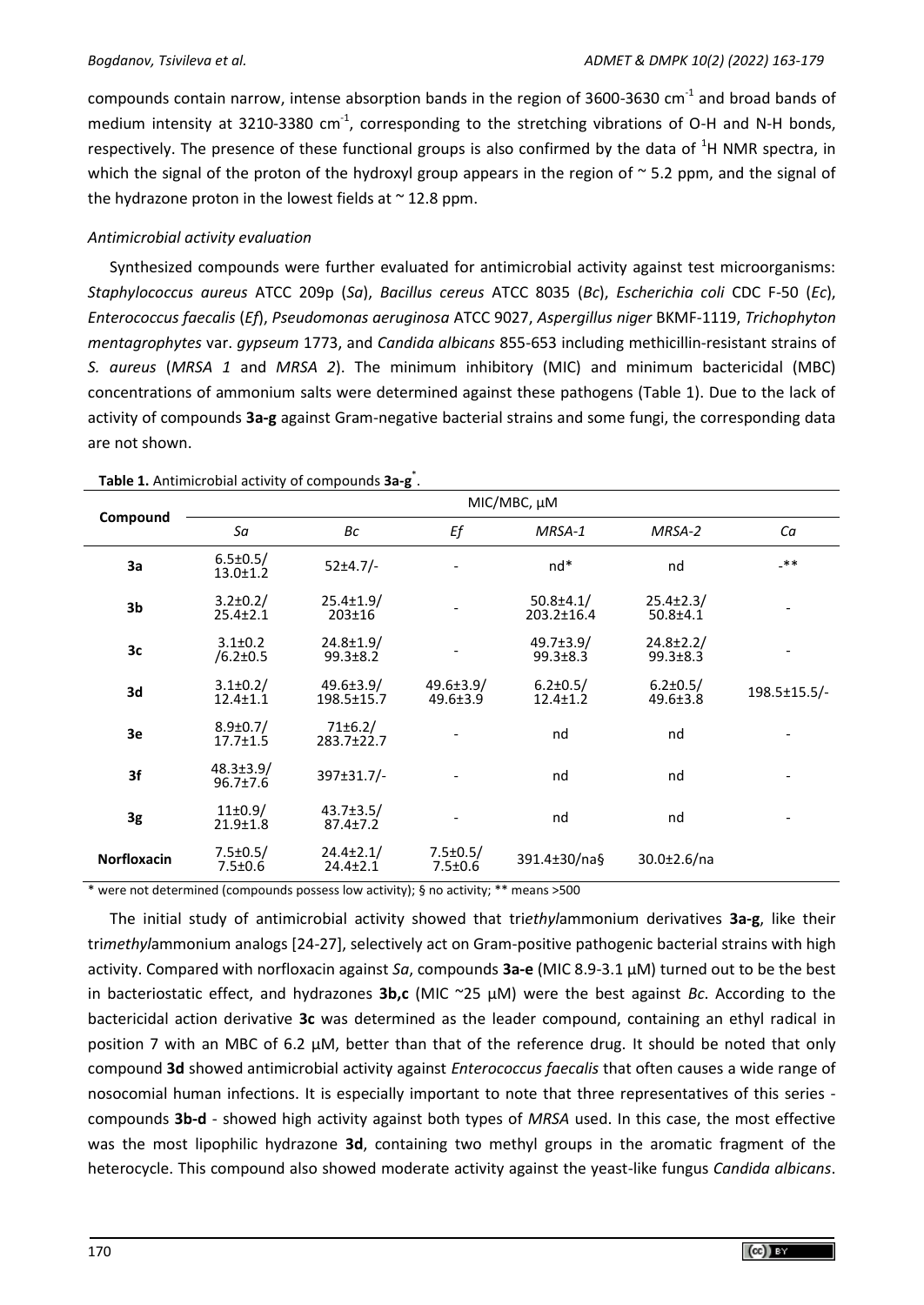compounds contain narrow, intense absorption bands in the region of 3600-3630 cm<sup>-1</sup> and broad bands of medium intensity at 3210-3380 cm<sup>-1</sup>, corresponding to the stretching vibrations of O-H and N-H bonds, respectively. The presence of these functional groups is also confirmed by the data of  ${}^{1}$ H NMR spectra, in which the signal of the proton of the hydroxyl group appears in the region of  $\sim$  5.2 ppm, and the signal of the hydrazone proton in the lowest fields at  $\sim$  12.8 ppm.

# *Antimicrobial activity evaluation*

Synthesized compounds were further evaluated for antimicrobial activity against test microorganisms: *Staphylococcus aureus* ATCC 209p (*Sa*), *Bacillus cereus* ATCC 8035 (*Bc*), *Escherichia coli* CDC F-50 (*Ec*), *Enterococcus faecalis* (*Ef*), *Pseudomonas aeruginosa* ATCC 9027, *Aspergillus niger* BKMF-1119, *Trichophyton mentagrophytes* var. *gypseum* 1773, and *Candida albicans* 855-653 including methicillin-resistant strains of *S. aureus* (*MRSA 1* and *MRSA 2*). The minimum inhibitory (MIC) and minimum bactericidal (MBC) concentrations of ammonium salts were determined against these pathogens (Table 1). Due to the lack of activity of compounds **3a-g** against Gram-negative bacterial strains and some fungi, the corresponding data are not shown.

|                    | MIC/MBC, µM                       |                                     |                                   |                                     |                                   |              |  |  |  |
|--------------------|-----------------------------------|-------------------------------------|-----------------------------------|-------------------------------------|-----------------------------------|--------------|--|--|--|
| Compound           | Sa                                | Вc                                  | Ef                                | MRSA-1                              | MRSA-2                            | Ca           |  |  |  |
| 3a                 | $6.5 \pm 0.5/$<br>$13.0 \pm 1.2$  | $52 \pm 4.7/-$                      |                                   | $nd*$                               | nd                                | $-**$        |  |  |  |
| 3 <sub>b</sub>     | $3.2 \pm 0.2$ /<br>$25.4 \pm 2.1$ | $25.4 \pm 1.9/$<br>$203 \pm 16$     |                                   | $50.8 \pm 4.1/$<br>$203.2 \pm 16.4$ | $25.4 \pm 2.3/$<br>$50.8 + 4.1$   |              |  |  |  |
| 3c                 | $3.1 \pm 0.2$<br>$/6.2 \pm 0.5$   | $24.8 \pm 1.9$<br>$99.3 \pm 8.2$    |                                   | $49.7 \pm 3.9/$<br>$99.3 \pm 8.3$   | $24.8 \pm 2.2/$<br>$99.3 \pm 8.3$ |              |  |  |  |
| 3d                 | $3.1 \pm 0.2/$<br>$12.4 \pm 1.1$  | $49.6 \pm 3.9/$<br>$198.5 \pm 15.7$ | $49.6 \pm 3.9/$<br>$49.6 \pm 3.9$ | $6.2 \pm 0.5/$<br>$12.4 \pm 1.2$    | $6.2 \pm 0.5/$<br>$49.6 \pm 3.8$  | 198.5±15.5/- |  |  |  |
| 3e                 | $8.9 \pm 0.7/$<br>$17.7 \pm 1.5$  | $71 \pm 6.2/$<br>283.7±22.7         |                                   | nd                                  | nd                                |              |  |  |  |
| 3f                 | $48.3 \pm 3.9/$<br>$96.7 \pm 7.6$ | $397 \pm 31.7/-$                    |                                   | nd                                  | nd                                |              |  |  |  |
| 3g                 | $11\pm0.9/$<br>$21.9 \pm 1.8$     | $43.7 \pm 3.5/$<br>$87.4 \pm 7.2$   |                                   | nd                                  | nd                                |              |  |  |  |
| <b>Norfloxacin</b> | $7.5 \pm 0.5/$<br>$7.5 \pm 0.6$   | $24.4 \pm 2.1/$<br>$24.4 \pm 2.1$   | $7.5 \pm 0.5/$<br>$7.5 \pm 0.6$   | 391.4±30/na§                        | $30.0 \pm 2.6$ /na                |              |  |  |  |

**Table 1.** Antimicrobial activity of compounds **3a-g** \* .

\* were not determined (compounds possess low activity); § no activity; \*\* means >500

The initial study of antimicrobial activity showed that tri*ethyl*ammonium derivatives **3a-g**, like their tri*methyl*ammonium analogs [24-27], selectively act on Gram-positive pathogenic bacterial strains with high activity. Compared with norfloxacin against *Sa*, compounds **3a-e** (MIC 8.9-3.1 µM) turned out to be the best in bacteriostatic effect, and hydrazones **3b,c** (MIC ~25 µM) were the best against *Bc*. According to the bactericidal action derivative **3c** was determined as the leader compound, containing an ethyl radical in position 7 with an MBC of 6.2  $\mu$ M, better than that of the reference drug. It should be noted that only compound **3d** showed antimicrobial activity against *Enterococcus faecalis* that often causes a wide range of nosocomial human infections. It is especially important to note that three representatives of this series compounds **3b-d** - showed high activity against both types of *MRSA* used. In this case, the most effective was the most lipophilic hydrazone **3d**, containing two methyl groups in the aromatic fragment of the heterocycle. This compound also showed moderate activity against the yeast-like fungus *Candida albicans*.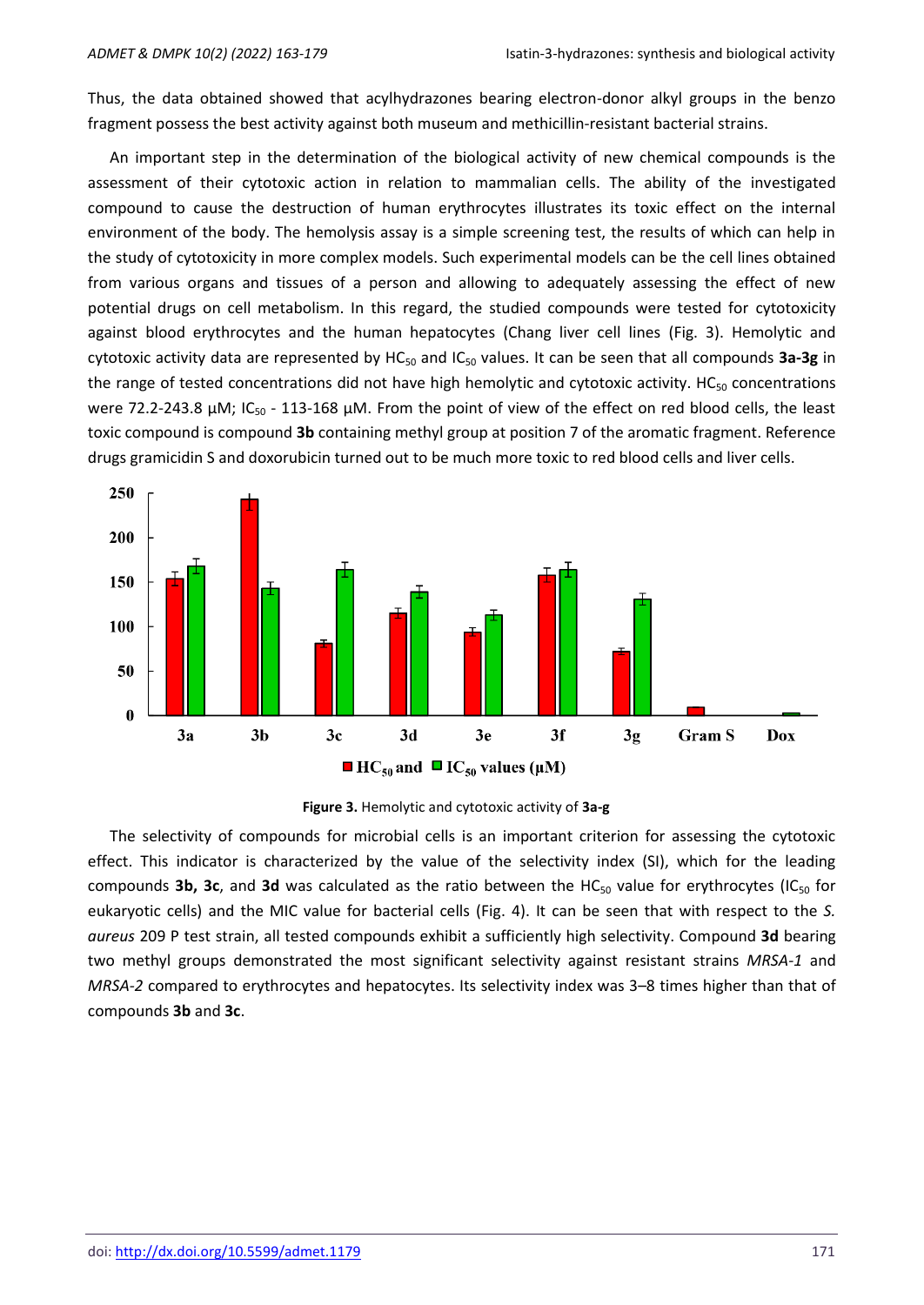Thus, the data obtained showed that acylhydrazones bearing electron-donor alkyl groups in the benzo fragment possess the best activity against both museum and methicillin-resistant bacterial strains.

An important step in the determination of the biological activity of new chemical compounds is the assessment of their cytotoxic action in relation to mammalian cells. The ability of the investigated compound to cause the destruction of human erythrocytes illustrates its toxic effect on the internal environment of the body. The hemolysis assay is a simple screening test, the results of which can help in the study of cytotoxicity in more complex models. Such experimental models can be the cell lines obtained from various organs and tissues of a person and allowing to adequately assessing the effect of new potential drugs on cell metabolism. In this regard, the studied compounds were tested for cytotoxicity against blood erythrocytes and the human hepatocytes (Chang liver cell lines (Fig. 3). Hemolytic and cytotoxic activity data are represented by HC<sub>50</sub> and IC<sub>50</sub> values. It can be seen that all compounds 3a-3g in the range of tested concentrations did not have high hemolytic and cytotoxic activity. HC $_{50}$  concentrations were 72.2-243.8  $\mu$ M; IC<sub>50</sub> - 113-168  $\mu$ M. From the point of view of the effect on red blood cells, the least toxic compound is compound **3b** containing methyl group at position 7 of the aromatic fragment. Reference drugs gramicidin S and doxorubicin turned out to be much more toxic to red blood cells and liver cells.





The selectivity of compounds for microbial cells is an important criterion for assessing the cytotoxic effect. This indicator is characterized by the value of the selectivity index (SI), which for the leading compounds **3b, 3c**, and **3d** was calculated as the ratio between the HC<sub>50</sub> value for erythrocytes (IC<sub>50</sub> for eukaryotic cells) and the MIC value for bacterial cells (Fig. 4). It can be seen that with respect to the *S. aureus* 209 P test strain, all tested compounds exhibit a sufficiently high selectivity. Compound **3d** bearing two methyl groups demonstrated the most significant selectivity against resistant strains *MRSA-1* and *MRSA-2* compared to erythrocytes and hepatocytes. Its selectivity index was 3–8 times higher than that of compounds **3b** and **3c**.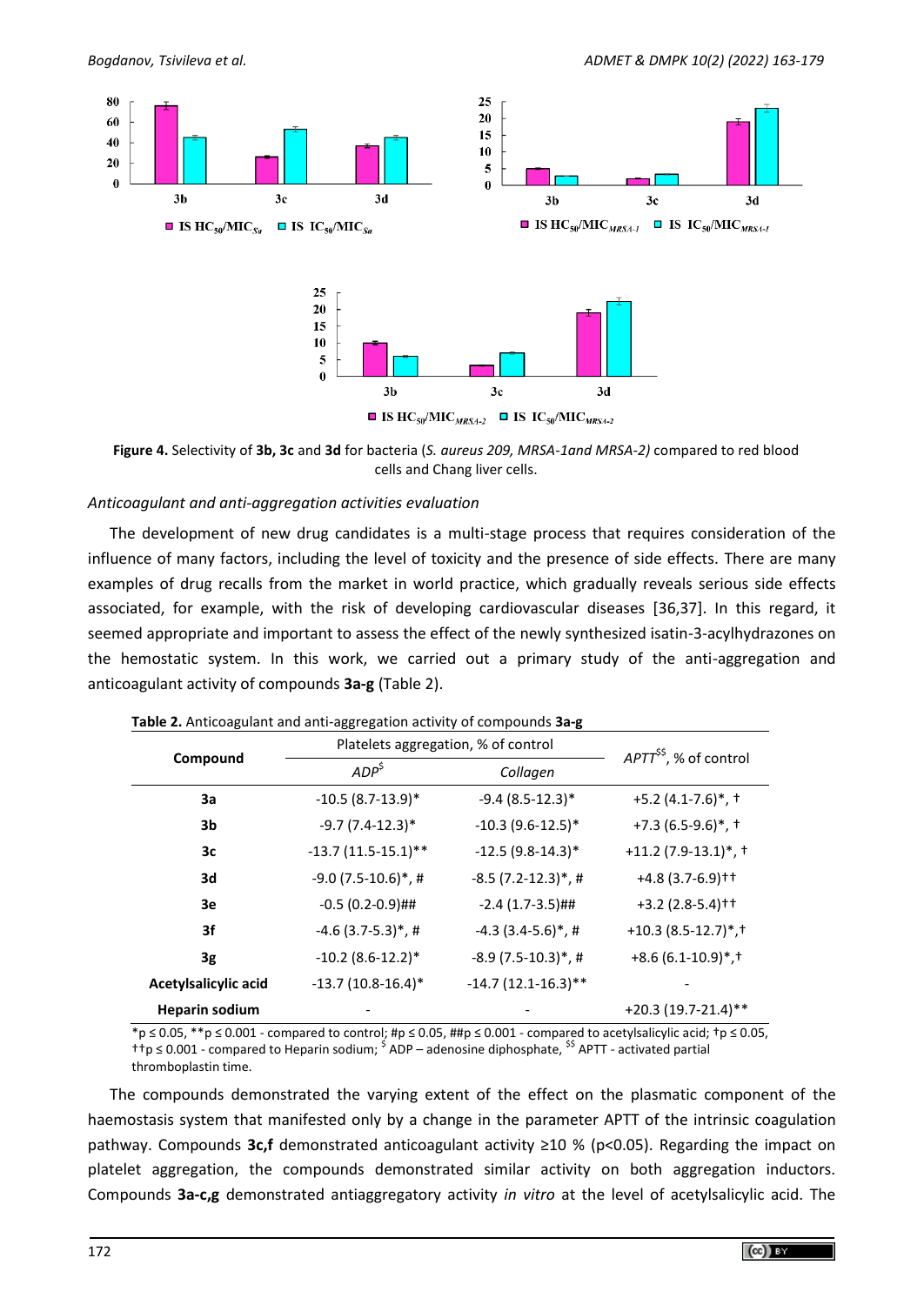

**Figure 4.** Selectivity of **3b, 3c** and **3d** for bacteria (*S. aureus 209, MRSA-1and MRSA-2)* compared to red blood cells and Chang liver cells.

#### *Anticoagulant and anti-aggregation activities evaluation*

The development of new drug candidates is a multi-stage process that requires consideration of the influence of many factors, including the level of toxicity and the presence of side effects. There are many examples of drug recalls from the market in world practice, which gradually reveals serious side effects associated, for example, with the risk of developing cardiovascular diseases [36,37]. In this regard, it seemed appropriate and important to assess the effect of the newly synthesized isatin-3-acylhydrazones on the hemostatic system. In this work, we carried out a primary study of the anti-aggregation and anticoagulant activity of compounds **3a-g** (Table 2).

|                       | Platelets aggregation, % of control | $APT^{ss}$ , % of control         |                                               |
|-----------------------|-------------------------------------|-----------------------------------|-----------------------------------------------|
| Compound              | ADP <sup>5</sup>                    | Collagen                          |                                               |
| 3a                    | $-10.5(8.7-13.9)$ *                 | $-9.4(8.5-12.3)*$                 | $+5.2$ (4.1-7.6) <sup>*</sup> , <sup>+</sup>  |
| 3b                    | $-9.7(7.4-12.3)$ *                  | $-10.3(9.6-12.5)$ *               | $+7.3(6.5-9.6)$ *, †                          |
| Зс                    | $-13.7(11.5-15.1)$ **               | $-12.5(9.8-14.3)$ *               | $+11.2$ (7.9-13.1)*, †                        |
| 3d                    | $-9.0(7.5-10.6)$ *,#                | $-8.5(7.2-12.3)$ *,#              | $+4.8(3.7-6.9)$ <sup>++</sup>                 |
| Зе                    | $-0.5(0.2-0.9)$ ##                  | $-2.4(1.7-3.5)$ ##                | $+3.2$ (2.8-5.4) <sup>++</sup>                |
| 3f                    | $-4.6$ (3.7-5.3) <sup>*</sup> , #   | $-4.3$ (3.4-5.6) <sup>*</sup> , # | $+10.3(8.5-12.7)$ <sup>*</sup> , <sup>†</sup> |
| 3g                    | $-10.2$ (8.6-12.2)*                 | $-8.9(7.5-10.3)$ *, #             | $+8.6(6.1-10.9)*$ , †                         |
| Acetylsalicylic acid  | $-13.7(10.8-16.4)$ *                | $-14.7(12.1-16.3)$ **             |                                               |
| <b>Heparin sodium</b> |                                     |                                   | $+20.3(19.7-21.4)$ **                         |

| Table 2. Anticoagulant and anti-aggregation activity of compounds 3a-g |  |  |  |
|------------------------------------------------------------------------|--|--|--|
|------------------------------------------------------------------------|--|--|--|

 $*_p$  ≤ 0.05, \*\*p ≤ 0.001 - compared to control; #p ≤ 0.05, ##p ≤ 0.001 - compared to acetylsalicylic acid;  $tp$  ≤ 0.05, † $p ≤ 0.001$  - compared to Heparin sodium; <sup>\$</sup> ADP – adenosine diphosphate, <sup>\$\$</sup> APTT - activated partial thromboplastin time.

The compounds demonstrated the varying extent of the effect on the plasmatic component of the haemostasis system that manifested only by a change in the parameter APTT of the intrinsic coagulation pathway. Compounds **3c,f** demonstrated anticoagulant activity ≥10 % (p<0.05). Regarding the impact on platelet aggregation, the compounds demonstrated similar activity on both aggregation inductors. Compounds **3a-c,g** demonstrated antiaggregatory activity *in vitro* at the level of acetylsalicylic acid. The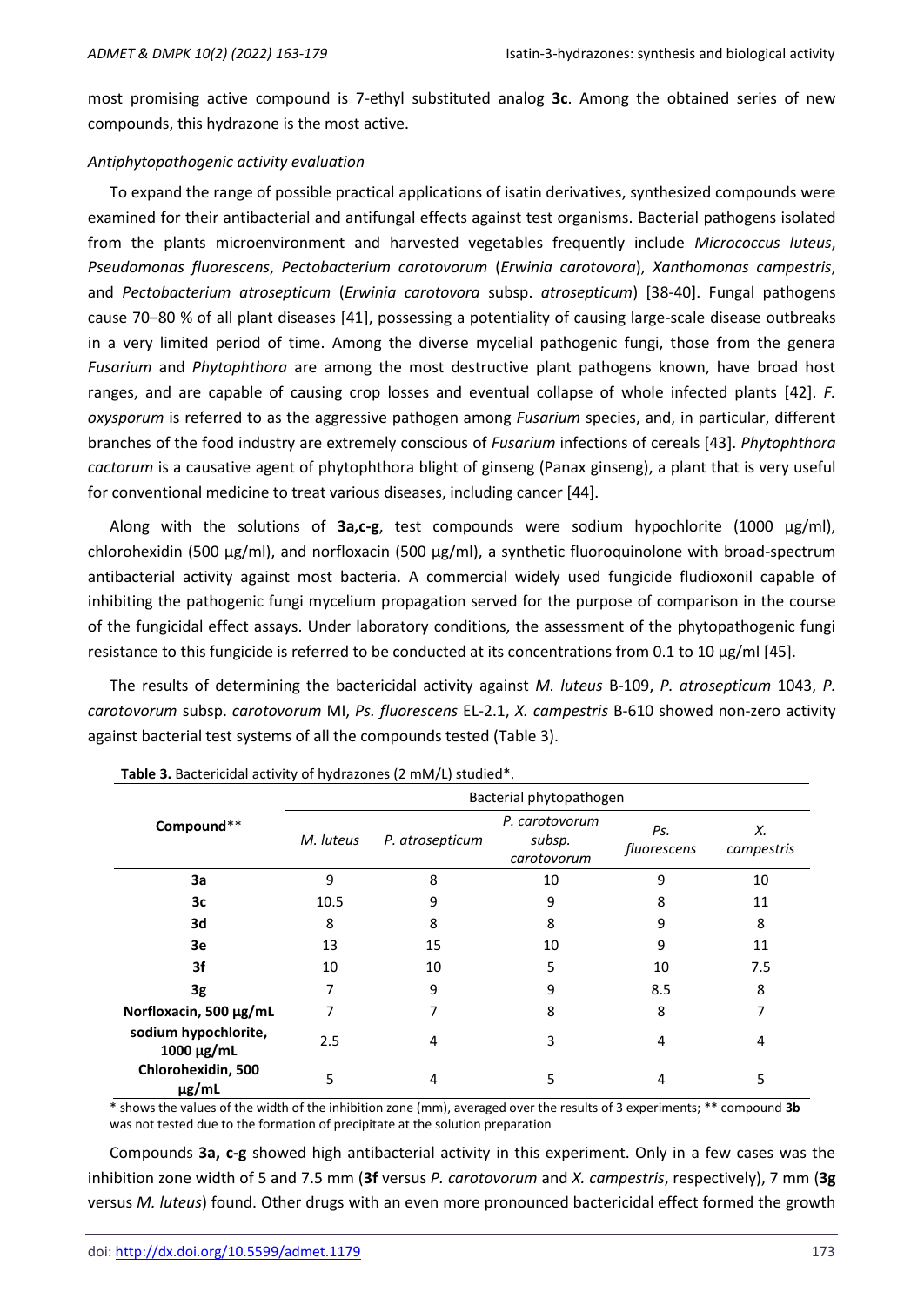most promising active compound is 7-ethyl substituted analog **3c**. Among the obtained series of new compounds, this hydrazone is the most active.

#### *Antiphytopathogenic activity evaluation*

To expand the range of possible practical applications of isatin derivatives, synthesized compounds were examined for their antibacterial and antifungal effects against test organisms. Bacterial pathogens isolated from the plants microenvironment and harvested vegetables frequently include *Micrococcus luteus*, *Pseudomonas fluorescens*, *Pectobacterium carotovorum* (*Erwinia carotovora*), *Xanthomonas campestris*, and *Pectobacterium atrosepticum* (*Erwinia carotovora* subsp. *atrosepticum*) [38-40]. Fungal pathogens cause 70–80 % of all plant diseases [41], possessing a potentiality of causing large-scale disease outbreaks in a very limited period of time. Among the diverse mycelial pathogenic fungi, those from the genera *Fusarium* and *Phytophthora* are among the most destructive plant pathogens known, have broad host ranges, and are capable of causing crop losses and eventual collapse of whole infected plants [42]. *F. oxysporum* is referred to as the aggressive pathogen among *Fusarium* species, and, in particular, different branches of the food industry are extremely conscious of *Fusarium* infections of cereals [43]. *Phytophthora cactorum* is a causative agent of phytophthora blight of ginseng (Panax ginseng), a plant that is very useful for conventional medicine to treat various diseases, including cancer [44].

Along with the solutions of **3a,c-g**, test compounds were sodium hypochlorite (1000 µg/ml), chlorohexidin (500 µg/ml), and norfloxacin (500 µg/ml), a synthetic fluoroquinolone with broad-spectrum antibacterial activity against most bacteria. A commercial widely used fungicide fludioxonil capable of inhibiting the pathogenic fungi mycelium propagation served for the purpose of comparison in the course of the fungicidal effect assays. Under laboratory conditions, the assessment of the phytopathogenic fungi resistance to this fungicide is referred to be conducted at its concentrations from 0.1 to 10 μg/ml [45].

The results of determining the bactericidal activity against *M. luteus* B-109, *P. atrosepticum* 1043, *P. carotovorum* subsp. *carotovorum* MI, *Ps. fluorescens* EL-2.1, *X. campestris* B-610 showed non-zero activity against bacterial test systems of all the compounds tested (Table 3).

|                                         | Bacterial phytopathogen      |    |                                         |                    |                  |  |  |  |  |
|-----------------------------------------|------------------------------|----|-----------------------------------------|--------------------|------------------|--|--|--|--|
| Compound**                              | M. luteus<br>P. atrosepticum |    | P. carotovorum<br>subsp.<br>carotovorum | Ps.<br>fluorescens | Х.<br>campestris |  |  |  |  |
| 3a                                      | 9                            | 8  | 10                                      | 9                  | 10               |  |  |  |  |
| 3c                                      | 10.5                         | 9  | 9                                       | 8                  | 11               |  |  |  |  |
| 3d                                      | 8                            | 8  | 8                                       | 9                  | 8                |  |  |  |  |
| 3e                                      | 13                           | 15 | 10                                      | 9                  | 11               |  |  |  |  |
| 3f                                      | 10                           | 10 | 5                                       | 10                 | 7.5              |  |  |  |  |
| 3g                                      |                              | 9  | 9                                       | 8.5                | 8                |  |  |  |  |
| Norfloxacin, 500 µg/mL                  | 7                            | 7  | 8                                       | 8                  | 7                |  |  |  |  |
| sodium hypochlorite,<br>$1000 \mu g/mL$ | 2.5                          | 4  | 3                                       | 4                  | 4                |  |  |  |  |
| Chlorohexidin, 500<br>$\mu$ g/mL        | 5                            | 4  | 5                                       | 4                  | 5                |  |  |  |  |

**Table 3.** Bactericidal activity of hydrazones (2 mM/L) studied\*.

\* shows the values of the width of the inhibition zone (mm), averaged over the results of 3 experiments; \*\* compound **3b** was not tested due to the formation of precipitate at the solution preparation

Compounds **3a, c-g** showed high antibacterial activity in this experiment. Only in a few cases was the inhibition zone width of 5 and 7.5 mm (**3f** versus *P. carotovorum* and *X. campestris*, respectively), 7 mm (**3g** versus *M. luteus*) found. Other drugs with an even more pronounced bactericidal effect formed the growth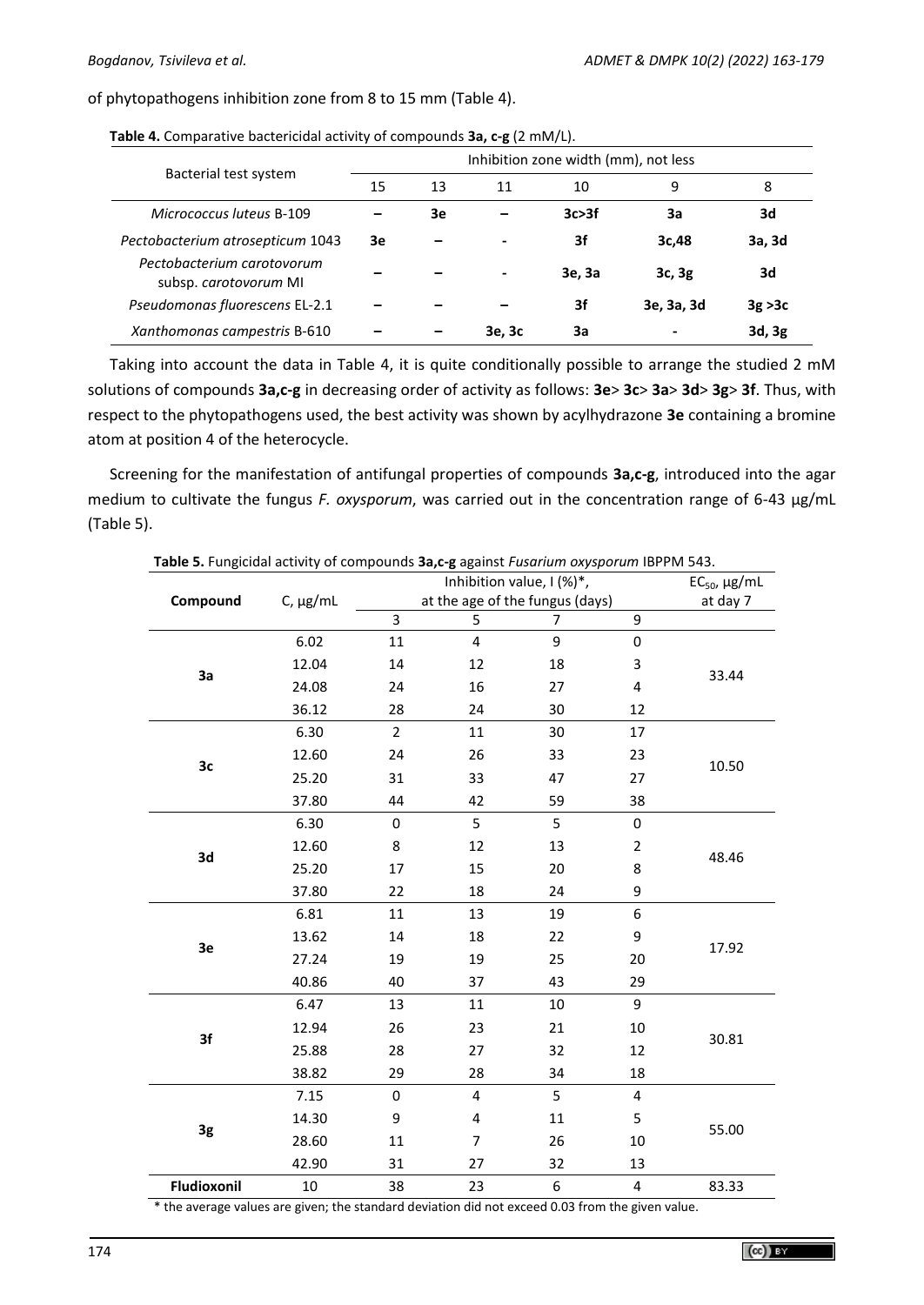of phytopathogens inhibition zone from 8 to 15 mm (Table 4).

|                                                     | Inhibition zone width (mm), not less |    |        |         |            |         |  |  |
|-----------------------------------------------------|--------------------------------------|----|--------|---------|------------|---------|--|--|
| Bacterial test system                               | 15                                   | 13 | 11     | 10      | 9          | 8       |  |  |
| Micrococcus luteus B-109                            |                                      | 3e |        | 3c > 3f | Зa         | 3d      |  |  |
| Pectobacterium atrosepticum 1043                    | 3e                                   |    |        | 3f      | 3c,48      | 3a, 3d  |  |  |
| Pectobacterium carotovorum<br>subsp. carotovorum MI |                                      |    |        | 3e, 3a  | 3c, 3g     | 3d      |  |  |
| Pseudomonas fluorescens EL-2.1                      |                                      |    |        | 3f      | 3e, 3a, 3d | 3g > 3c |  |  |
| Xanthomonas campestris B-610                        |                                      |    | 3e, 3c | За      |            | 3d, 3g  |  |  |

**Table 4.** Comparative bactericidal activity of compounds **3a, c-g** (2 mM/L).

Taking into account the data in Table 4, it is quite conditionally possible to arrange the studied 2 mM solutions of compounds **3a,c-g** in decreasing order of activity as follows: **3e**> **3c**> **3a**> **3d**> **3g**> **3f**. Thus, with respect to the phytopathogens used, the best activity was shown by acylhydrazone **3e** containing a bromine atom at position 4 of the heterocycle.

Screening for the manifestation of antifungal properties of compounds **3a,c-g**, introduced into the agar medium to cultivate the fungus *F. oxysporum*, was carried out in the concentration range of 6-43 μg/mL (Table 5).

|             |               |                                 | $EC_{50}$ , µg/mL |    |                  |       |
|-------------|---------------|---------------------------------|-------------------|----|------------------|-------|
| Compound    | $C, \mu g/mL$ | at the age of the fungus (days) | at day 7          |    |                  |       |
|             |               | 3                               | 5                 | 7  | 9                |       |
|             | 6.02          | 11                              | 4                 | 9  | $\boldsymbol{0}$ |       |
| 3a          | 12.04         | 14                              | 12                | 18 | 3                | 33.44 |
|             | 24.08         | 24                              | 16                | 27 | 4                |       |
|             | 36.12         | 28                              | 24                | 30 | 12               |       |
|             | 6.30          | $\overline{2}$                  | 11                | 30 | 17               |       |
| 3c          | 12.60         | 24                              | 26                | 33 | 23               | 10.50 |
|             | 25.20         | 31                              | 33                | 47 | 27               |       |
|             | 37.80         | 44                              | 42                | 59 | 38               |       |
|             | 6.30          | 0                               | 5                 | 5  | 0                |       |
| 3d          | 12.60         | 8                               | 12                | 13 | $\overline{2}$   | 48.46 |
|             | 25.20         | 17                              | 15                | 20 | 8                |       |
|             | 37.80         | 22                              | 18                | 24 | 9                |       |
|             | 6.81          | $11\,$                          | 13                | 19 | 6                |       |
| 3e          | 13.62         | 14                              | 18                | 22 | 9                | 17.92 |
|             | 27.24         | 19                              | 19                | 25 | 20               |       |
|             | 40.86         | 40                              | 37                | 43 | 29               |       |
|             | 6.47          | 13                              | 11                | 10 | 9                |       |
| 3f          | 12.94         | 26                              | 23                | 21 | 10               | 30.81 |
|             | 25.88         | 28                              | 27                | 32 | 12               |       |
|             | 38.82         | 29                              | 28                | 34 | 18               |       |
|             | 7.15          | 0                               | $\overline{4}$    | 5  | 4                |       |
|             | 14.30         | 9                               | 4                 | 11 | 5                | 55.00 |
| 3g          | 28.60         | 11                              | 7                 | 26 | 10               |       |
|             | 42.90         | 31                              | 27                | 32 | 13               |       |
| Fludioxonil | $10\,$        | 38                              | 23                | 6  | $\pmb{4}$        | 83.33 |

**Table 5.** Fungicidal activity of compounds **3a,c-g** against *Fusarium oxysporum* IBPPM 543.

\* the average values are given; the standard deviation did not exceed 0.03 from the given value.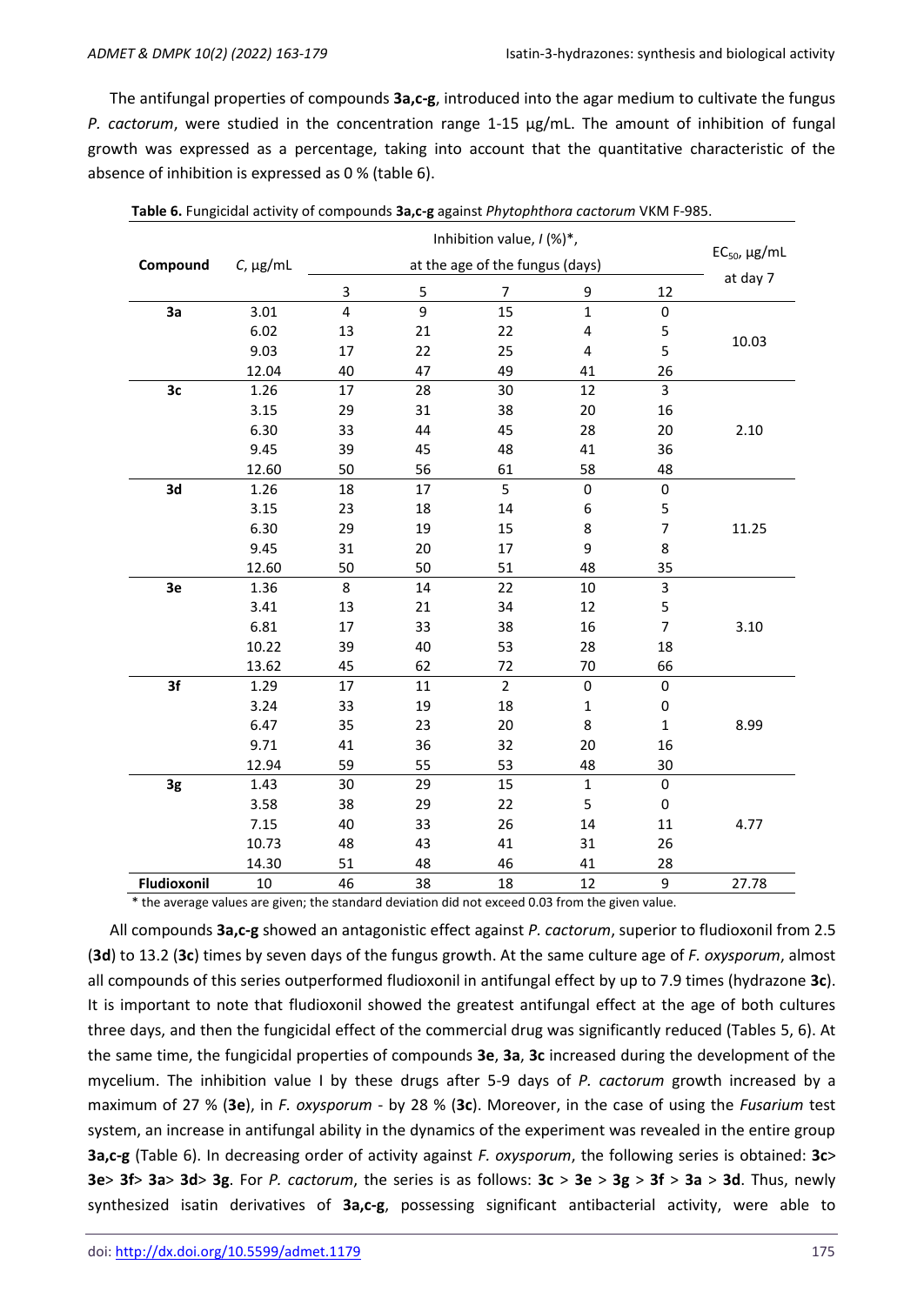The antifungal properties of compounds **3a,c-g**, introduced into the agar medium to cultivate the fungus *P. cactorum*, were studied in the concentration range 1-15 μg/mL. The amount of inhibition of fungal growth was expressed as a percentage, taking into account that the quantitative characteristic of the absence of inhibition is expressed as 0 % (table 6).

|             | <b>Table 0.</b> Fungicidal activity of compounds <b>Ja,c-g</b> against <i>Emplopmmora cactorum</i> Vikivi F |                         |                   |                |              |                |          |
|-------------|-------------------------------------------------------------------------------------------------------------|-------------------------|-------------------|----------------|--------------|----------------|----------|
| Compound    | $C$ , µg/mL                                                                                                 |                         | $EC_{50}$ , µg/mL |                |              |                |          |
|             |                                                                                                             | 3                       | 5                 | $\overline{7}$ | 9            | 12             | at day 7 |
| 3a          | 3.01                                                                                                        | $\overline{\mathbf{4}}$ | $\overline{9}$    | 15             | $\mathbf{1}$ | $\pmb{0}$      |          |
|             | 6.02                                                                                                        | 13                      | 21                | 22             | 4            | 5              |          |
|             | 9.03                                                                                                        | 17                      | 22                | 25             | 4            | 5              | 10.03    |
|             | 12.04                                                                                                       | 40                      | 47                | 49             | 41           | 26             |          |
| 3c          | 1.26                                                                                                        | 17                      | 28                | 30             | 12           | 3              |          |
|             | 3.15                                                                                                        | 29                      | 31                | 38             | 20           | 16             |          |
|             | 6.30                                                                                                        | 33                      | 44                | 45             | 28           | $20\,$         | 2.10     |
|             | 9.45                                                                                                        | 39                      | 45                | 48             | 41           | 36             |          |
|             | 12.60                                                                                                       | 50                      | 56                | 61             | 58           | 48             |          |
| 3d          | 1.26                                                                                                        | 18                      | 17                | 5              | $\pmb{0}$    | $\pmb{0}$      |          |
|             | 3.15                                                                                                        | 23                      | 18                | 14             | 6            | 5              |          |
|             | 6.30                                                                                                        | 29                      | 19                | 15             | 8            | $\overline{7}$ | 11.25    |
|             | 9.45                                                                                                        | 31                      | 20                | 17             | 9            | 8              |          |
|             | 12.60                                                                                                       | 50                      | 50                | 51             | 48           | 35             |          |
| 3e          | 1.36                                                                                                        | 8                       | 14                | 22             | 10           | 3              |          |
|             | 3.41                                                                                                        | 13                      | 21                | 34             | 12           | 5              |          |
|             | 6.81                                                                                                        | 17                      | 33                | 38             | 16           | $\overline{7}$ | 3.10     |
|             | 10.22                                                                                                       | 39                      | 40                | 53             | 28           | 18             |          |
|             | 13.62                                                                                                       | 45                      | 62                | 72             | 70           | 66             |          |
| 3f          | 1.29                                                                                                        | 17                      | 11                | $\overline{2}$ | $\pmb{0}$    | 0              |          |
|             | 3.24                                                                                                        | 33                      | 19                | 18             | $\mathbf 1$  | $\pmb{0}$      |          |
|             | 6.47                                                                                                        | 35                      | 23                | 20             | 8            | $\mathbf 1$    | 8.99     |
|             | 9.71                                                                                                        | 41                      | 36                | 32             | 20           | 16             |          |
|             | 12.94                                                                                                       | 59                      | 55                | 53             | 48           | 30             |          |
| 3g          | 1.43                                                                                                        | 30                      | 29                | 15             | $\mathbf{1}$ | 0              |          |
|             | 3.58                                                                                                        | 38                      | 29                | 22             | 5            | $\pmb{0}$      |          |
|             | 7.15                                                                                                        | 40                      | 33                | 26             | 14           | 11             | 4.77     |
|             | 10.73                                                                                                       | 48                      | 43                | 41             | 31           | 26             |          |
|             | 14.30                                                                                                       | 51                      | 48                | 46             | 41           | 28             |          |
| Fludioxonil | 10                                                                                                          | 46                      | 38                | 18             | 12           | 9              | 27.78    |

|  |  | Table 6. Fungicidal activity of compounds 3a,c-g against Phytophthora cactorum VKM F-985. |  |
|--|--|-------------------------------------------------------------------------------------------|--|
|  |  |                                                                                           |  |

\* the average values are given; the standard deviation did not exceed 0.03 from the given value.

All compounds **3a,c-g** showed an antagonistic effect against *P. cactorum*, superior to fludioxonil from 2.5 (**3d**) to 13.2 (**3c**) times by seven days of the fungus growth. At the same culture age of *F. oxysporum*, almost all compounds of this series outperformed fludioxonil in antifungal effect by up to 7.9 times (hydrazone **3c**). It is important to note that fludioxonil showed the greatest antifungal effect at the age of both cultures three days, and then the fungicidal effect of the commercial drug was significantly reduced (Tables 5, 6). At the same time, the fungicidal properties of compounds **3e**, **3a**, **3c** increased during the development of the mycelium. The inhibition value I by these drugs after 5-9 days of *P. cactorum* growth increased by a maximum of 27 % (**3e**), in *F. oxysporum* - by 28 % (**3c**). Moreover, in the case of using the *Fusarium* test system, an increase in antifungal ability in the dynamics of the experiment was revealed in the entire group **3a,c-g** (Table 6). In decreasing order of activity against *F. oxysporum*, the following series is obtained: **3c**> **3e**> **3f**> **3a**> **3d**> **3g**. For *P. cactorum*, the series is as follows: **3c** > **3e** > **3g** > **3f** > **3a** > **3d**. Thus, newly synthesized isatin derivatives of **3a,c-g**, possessing significant antibacterial activity, were able to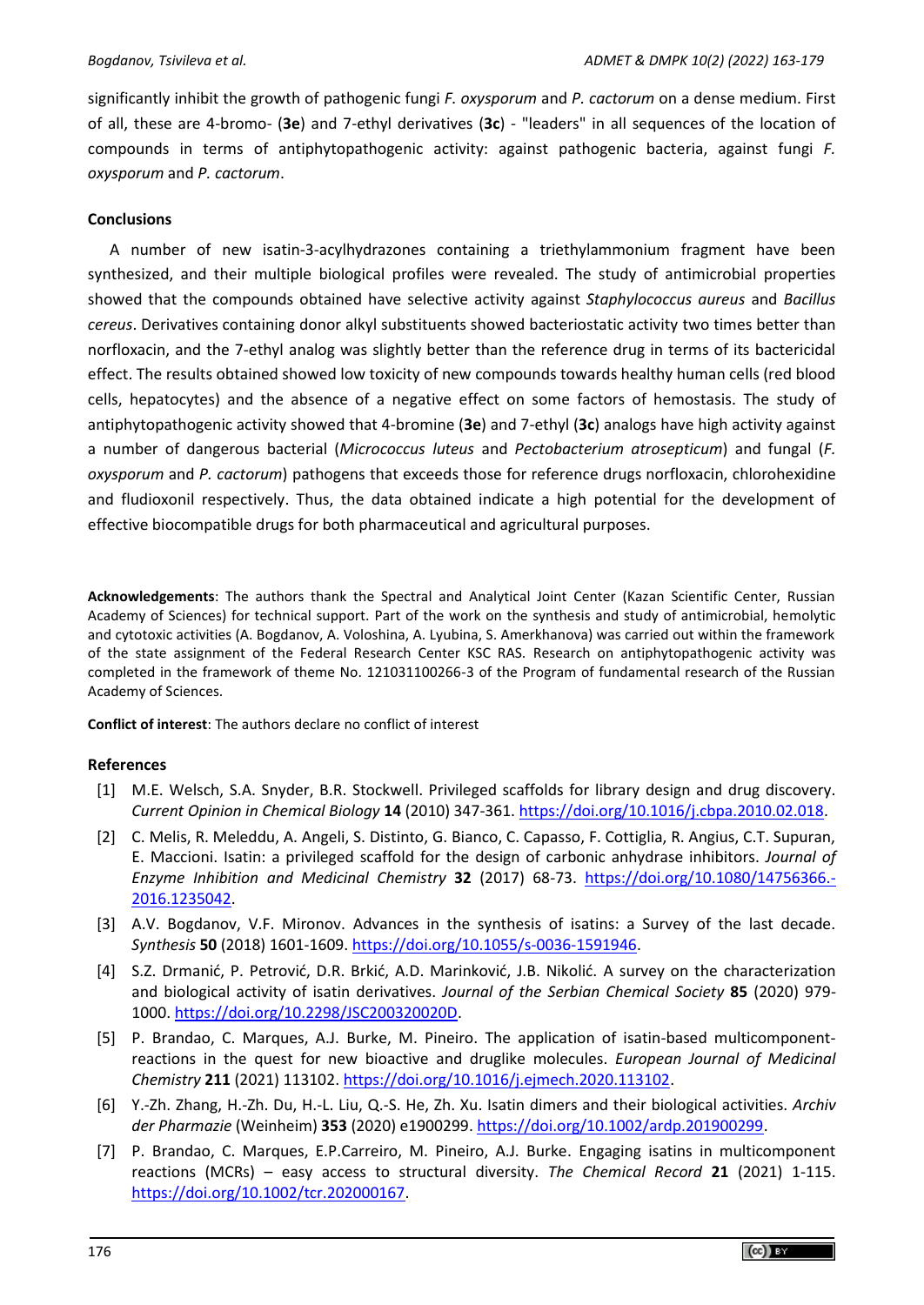significantly inhibit the growth of pathogenic fungi *F. oxysporum* and *P. cactorum* on a dense medium. First of all, these are 4-bromo- (**3e**) and 7-ethyl derivatives (**3c**) - "leaders" in all sequences of the location of compounds in terms of antiphytopathogenic activity: against pathogenic bacteria, against fungi *F. oxysporum* and *P. cactorum*.

### **Conclusions**

A number of new isatin-3-acylhydrazones containing a triethylammonium fragment have been synthesized, and their multiple biological profiles were revealed. The study of antimicrobial properties showed that the compounds obtained have selective activity against *Staphylococcus aureus* and *Bacillus cereus*. Derivatives containing donor alkyl substituents showed bacteriostatic activity two times better than norfloxacin, and the 7-ethyl analog was slightly better than the reference drug in terms of its bactericidal effect. The results obtained showed low toxicity of new compounds towards healthy human cells (red blood cells, hepatocytes) and the absence of a negative effect on some factors of hemostasis. The study of antiphytopathogenic activity showed that 4-bromine (**3e**) and 7-ethyl (**3c**) analogs have high activity against a number of dangerous bacterial (*Micrococcus luteus* and *Pectobacterium atrosepticum*) and fungal (*F. oxysporum* and *P. cactorum*) pathogens that exceeds those for reference drugs norfloxacin, chlorohexidine and fludioxonil respectively. Thus, the data obtained indicate a high potential for the development of effective biocompatible drugs for both pharmaceutical and agricultural purposes.

**Acknowledgements**: The authors thank the Spectral and Analytical Joint Center (Kazan Scientific Center, Russian Academy of Sciences) for technical support. Part of the work on the synthesis and study of antimicrobial, hemolytic and cytotoxic activities (A. Bogdanov, A. Voloshina, A. Lyubina, S. Amerkhanova) was carried out within the framework of the state assignment of the Federal Research Center KSC RAS. Research on antiphytopathogenic activity was completed in the framework of theme No. 121031100266-3 of the Program of fundamental research of the Russian Academy of Sciences.

**Conflict of interest**: The authors declare no conflict of interest

### **References**

- [1] M.E. Welsch, S.A. Snyder, B.R. Stockwell. Privileged scaffolds for library design and drug discovery. *Current Opinion in Chemical Biology* **14** (2010) 347-361. [https://doi.org/10.1016/j.cbpa.2010.02.018.](https://doi.org/10.1016/j.cbpa.2010.02.018)
- [2] C. Melis, R. Meleddu, A. Angeli, S. Distinto, G. Bianco, C. Capasso, F. Cottiglia, R. Angius, C.T. Supuran, E. Maccioni. Isatin: a privileged scaffold for the design of carbonic anhydrase inhibitors. *Journal of Enzyme Inhibition and Medicinal Chemistry* **32** (2017) 68-73. [https://doi.org/10.1080/14756366.-](https://doi.org/10.1080/14756366.2016.1235042) [2016.1235042.](https://doi.org/10.1080/14756366.2016.1235042)
- [3] A.V. Bogdanov, V.F. Mironov. Advances in the synthesis of isatins: a Survey of the last decade. *Synthesis* **50** (2018) 1601-1609. [https://doi.org/10.1055/s-0036-1591946.](https://doi.org/10.1055/s-0036-1591946)
- [4] S.Z. Drmanić, P. Petrović, D.R. Brkić, A.D. Marinković, J.B. Nikolić. A survey on the characterization and biological activity of isatin derivatives. *Journal of the Serbian Chemical Society* **85** (2020) 979- 1000[. https://doi.org/10.2298/JSC200320020D.](https://doi.org/10.2298/JSC200320020D)
- [5] P. Brandao, C. Marques, A.J. Burke, M. Pineiro. The application of isatin-based multicomponentreactions in the quest for new bioactive and druglike molecules. *European Journal of Medicinal Chemistry* **211** (2021) 113102. [https://doi.org/10.1016/j.ejmech.2020.113102.](https://doi.org/10.1016/j.ejmech.2020.113102)
- [6] Y.‐Zh. Zhang, H.‐Zh. Du, H.‐L. Liu, Q.‐S. He, Zh. Xu. Isatin dimers and their biological activities. *Archiv der Pharmazie* (Weinheim) **353** (2020) e1900299[. https://doi.org/10.1002/ardp.201900299.](https://doi.org/10.1002/ardp.201900299)
- [7] P. Brandao, C. Marques, E.P.Carreiro, M. Pineiro, A.J. Burke. Engaging isatins in multicomponent reactions (MCRs) – easy access to structural diversity. *The Chemical Record* **21** (2021) 1-115. [https://doi.org/10.1002/tcr.202000167.](https://doi.org/10.1002/tcr.202000167)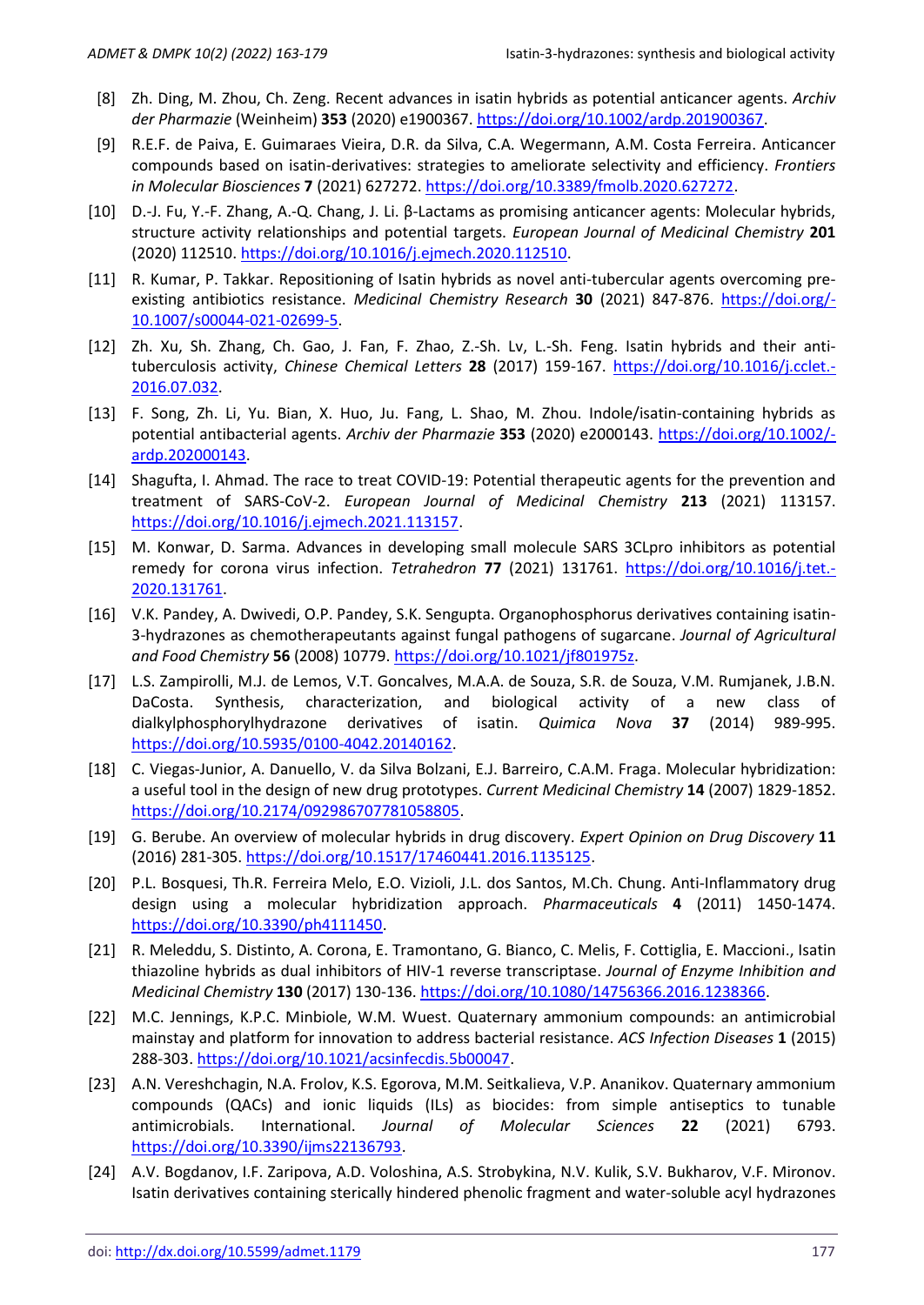- [8] Zh. Ding, M. Zhou, Ch. Zeng. Recent advances in isatin hybrids as potential anticancer agents. *Archiv der Pharmazie* (Weinheim) **353** (2020) e1900367[. https://doi.org/10.1002/ardp.201900367.](https://doi.org/10.1002/ardp.201900367)
- [9] R.E.F. de Paiva, E. Guimaraes Vieira, D.R. da Silva, C.A. Wegermann, A.M. Costa Ferreira. Anticancer compounds based on isatin-derivatives: strategies to ameliorate selectivity and efficiency. *Frontiers in Molecular Biosciences* **7** (2021) 627272[. https://doi.org/10.3389/fmolb.2020.627272.](https://doi.org/10.3389/fmolb.2020.627272)
- [10] D.-J. Fu, Y.-F. Zhang, A.-Q. Chang, J. Li. β-Lactams as promising anticancer agents: Molecular hybrids, structure activity relationships and potential targets. *European Journal of Medicinal Chemistry* **201** (2020) 112510. [https://doi.org/10.1016/j.ejmech.2020.112510.](https://doi.org/10.1016/j.ejmech.2020.112510)
- [11] R. Kumar, P. Takkar. Repositioning of Isatin hybrids as novel anti-tubercular agents overcoming preexisting antibiotics resistance. *Medicinal Chemistry Research* **30** (2021) 847-876. [https://doi.org/-](https://doi.org/10.1007/s00044-021-02699-5) [10.1007/s00044-021-02699-5.](https://doi.org/10.1007/s00044-021-02699-5)
- [12] Zh. Xu, Sh. Zhang, Ch. Gao, J. Fan, F. Zhao, Z.-Sh. Lv, L.-Sh. Feng. Isatin hybrids and their antituberculosis activity, *Chinese Chemical Letters* **28** (2017) 159-167. [https://doi.org/10.1016/j.cclet.-](https://doi.org/10.1016/j.cclet.2016.07.032) [2016.07.032.](https://doi.org/10.1016/j.cclet.2016.07.032)
- [13] F. Song, Zh. Li, Yu. Bian, X. Huo, Ju. Fang, L. Shao, M. Zhou. Indole/isatin‐containing hybrids as potential antibacterial agents. *Archiv der Pharmazie* **353** (2020) e2000143. [https://doi.org/10.1002/](https://doi.org/10.1002/ardp.202000143) [ardp.202000143.](https://doi.org/10.1002/ardp.202000143)
- [14] Shagufta, I. Ahmad. The race to treat COVID-19: Potential therapeutic agents for the prevention and treatment of SARS-CoV-2. *European Journal of Medicinal Chemistry* **213** (2021) 113157. [https://doi.org/10.1016/j.ejmech.2021.113157.](https://doi.org/10.1016/j.ejmech.2021.113157)
- [15] M. Konwar, D. Sarma. Advances in developing small molecule SARS 3CLpro inhibitors as potential remedy for corona virus infection. *Tetrahedron* **77** (2021) 131761. [https://doi.org/10.1016/j.tet.-](https://doi.org/10.1016/j.tet.2020.131761) [2020.131761.](https://doi.org/10.1016/j.tet.2020.131761)
- [16] V.K. Pandey, A. Dwivedi, O.P. Pandey, S.K. Sengupta. Organophosphorus derivatives containing isatin-3-hydrazones as chemotherapeutants against fungal pathogens of sugarcane. *Journal of Agricultural and Food Chemistry* **56** (2008) 10779. [https://doi.org/10.1021/jf801975z.](https://doi.org/10.1021/jf801975z)
- [17] L.S. Zampirolli, M.J. de Lemos, V.T. Goncalves, M.A.A. de Souza, S.R. de Souza, V.M. Rumjanek, J.B.N. DaCosta. Synthesis, characterization, and biological activity of a new class of dialkylphosphorylhydrazone derivatives of isatin. *Quimica Nova* **37** (2014) 989-995. [https://doi.org/10.5935/0100-4042.20140162.](https://doi.org/10.5935/0100-4042.20140162)
- [18] C. Viegas-Junior, A. Danuello, V. da Silva Bolzani, E.J. Barreiro, C.A.M. Fraga. Molecular hybridization: a useful tool in the design of new drug prototypes. *Current Medicinal Chemistry* **14** (2007) 1829-1852. [https://doi.org/10.2174/092986707781058805.](https://doi.org/10.2174/092986707781058805)
- [19] G. Berube. An overview of molecular hybrids in drug discovery. *Expert Opinion on Drug Discovery* **11** (2016) 281-305[. https://doi.org/10.1517/17460441.2016.1135125.](https://doi.org/10.1517/17460441.2016.1135125)
- [20] P.L. Bosquesi, Th.R. Ferreira Melo, E.O. Vizioli, J.L. dos Santos, M.Ch. Chung. Anti-Inflammatory drug design using a molecular hybridization approach. *Pharmaceuticals* **4** (2011) 1450-1474. [https://doi.org/10.3390/ph4111450.](https://doi.org/10.3390/ph4111450)
- [21] R. Meleddu, S. Distinto, A. Corona, E. Tramontano, G. Bianco, C. Melis, F. Cottiglia, E. Maccioni., Isatin thiazoline hybrids as dual inhibitors of HIV-1 reverse transcriptase. *Journal of Enzyme Inhibition and Medicinal Chemistry* **130** (2017) 130-136. [https://doi.org/10.1080/14756366.2016.1238366.](https://doi.org/10.1080/14756366.2016.1238366)
- [22] M.C. Jennings, K.P.C. Minbiole, W.M. Wuest. Quaternary ammonium compounds: an antimicrobial mainstay and platform for innovation to address bacterial resistance. *ACS Infection Diseases* **1** (2015) 288-303. [https://doi.org/10.1021/acsinfecdis.5b00047.](https://doi.org/10.1021/acsinfecdis.5b00047)
- [23] A.N. Vereshchagin, N.A. Frolov, K.S. Egorova, M.M. Seitkalieva, V.P. Ananikov. Quaternary ammonium compounds (QACs) and ionic liquids (ILs) as biocides: from simple antiseptics to tunable antimicrobials. International. *Journal of Molecular Sciences* **22** (2021) 6793. [https://doi.org/10.3390/ijms22136793.](https://doi.org/10.3390/ijms22136793)
- [24] A.V. Bogdanov, I.F. Zaripova, A.D. Voloshina, A.S. Strobykina, N.V. Kulik, S.V. Bukharov, V.F. Mironov. Isatin derivatives containing sterically hindered phenolic fragment and water-soluble acyl hydrazones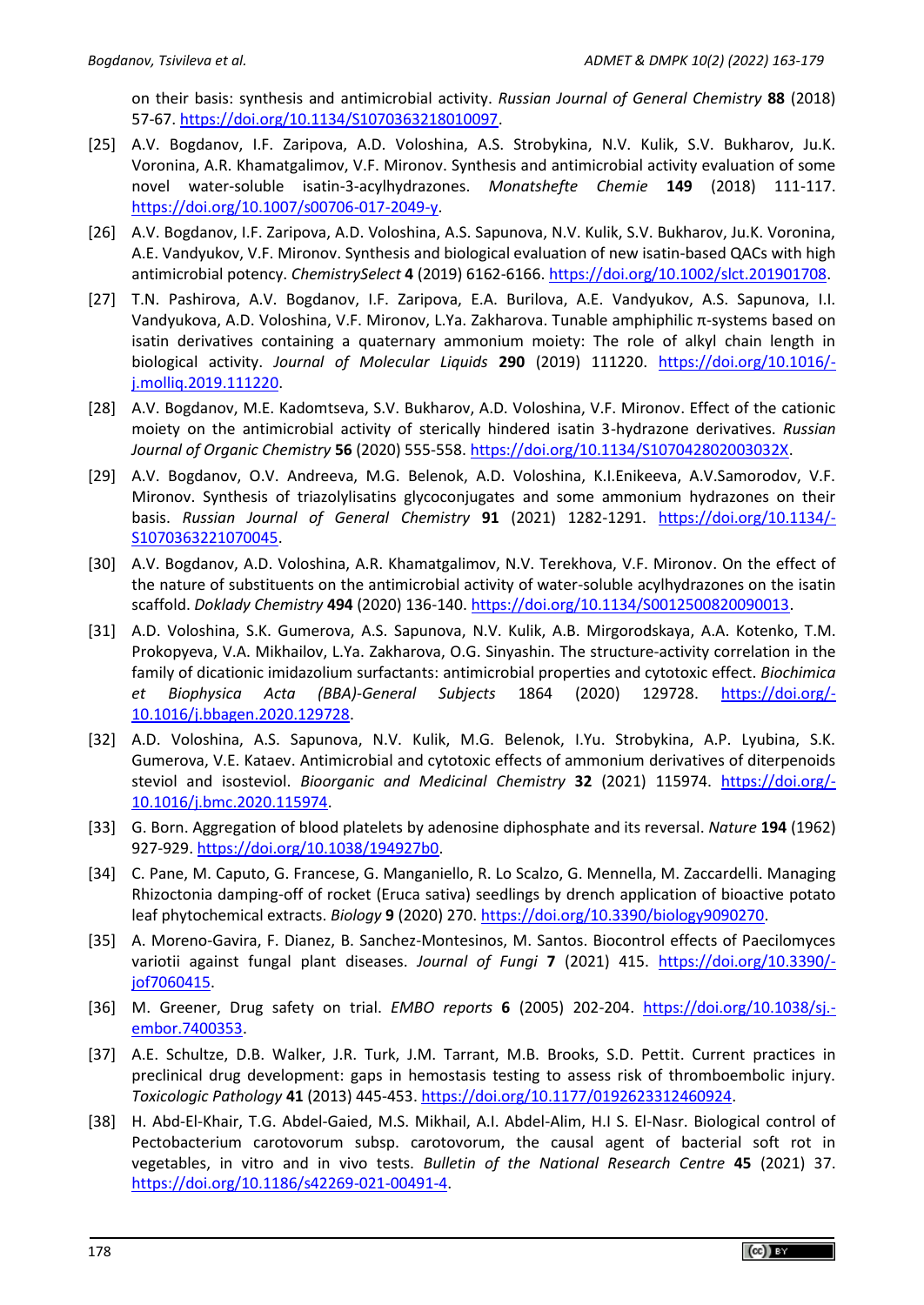on their basis: synthesis and antimicrobial activity. *Russian Journal of General Chemistry* **88** (2018) 57-67. [https://doi.org/10.1134/S1070363218010097.](https://doi.org/10.1134/S1070363218010097)

- [25] A.V. Bogdanov, I.F. Zaripova, A.D. Voloshina, A.S. Strobykina, N.V. Kulik, S.V. Bukharov, Ju.K. Voronina, A.R. Khamatgalimov, V.F. Mironov. Synthesis and antimicrobial activity evaluation of some novel water-soluble isatin-3-acylhydrazones. *Monatshefte Chemie* **149** (2018) 111-117. [https://doi.org/10.1007/s00706-017-2049-y.](https://doi.org/10.1007/s00706-017-2049-y)
- [26] A.V. Bogdanov, I.F. Zaripova, A.D. Voloshina, A.S. Sapunova, N.V. Kulik, S.V. Bukharov, Ju.K. Voronina, A.E. Vandyukov, V.F. Mironov. Synthesis and biological evaluation of new isatin-based QACs with high antimicrobial potency. *ChemistrySelect* **4** (2019) 6162-6166. [https://doi.org/10.1002/slct.201901708.](https://doi.org/10.1002/slct.201901708)
- [27] T.N. Pashirova, A.V. Bogdanov, I.F. Zaripova, E.A. Burilova, A.E. Vandyukov, A.S. Sapunova, I.I. Vandyukova, A.D. Voloshina, V.F. Mironov, L.Ya. Zakharova. Tunable amphiphilic π-systems based on isatin derivatives containing a quaternary ammonium moiety: The role of alkyl chain length in biological activity. *Journal of Molecular Liquids* **290** (2019) 111220. [https://doi.org/10.1016/](https://doi.org/10.1016/j.molliq.2019.111220) [j.molliq.2019.111220.](https://doi.org/10.1016/j.molliq.2019.111220)
- [28] A.V. Bogdanov, M.E. Kadomtseva, S.V. Bukharov, A.D. Voloshina, V.F. Mironov. Effect of the cationic moiety on the antimicrobial activity of sterically hindered isatin 3-hydrazone derivatives. *Russian Journal of Organic Chemistry* **56** (2020) 555-558. [https://doi.org/10.1134/S107042802003032X.](https://doi.org/10.1134/S107042802003032X)
- [29] A.V. Bogdanov, O.V. Andreeva, M.G. Belenok, A.D. Voloshina, K.I.Enikeeva, A.V.Samorodov, V.F. Mironov. Synthesis of triazolylisatins glycoconjugates and some ammonium hydrazones on their basis. *Russian Journal of General Chemistry* **91** (2021) 1282-1291. [https://doi.org/10.1134/-](https://doi.org/10.1134/S1070363221070045) [S1070363221070045.](https://doi.org/10.1134/S1070363221070045)
- [30] A.V. Bogdanov, A.D. Voloshina, A.R. Khamatgalimov, N.V. Terekhova, V.F. Mironov. On the effect of the nature of substituents on the antimicrobial activity of water-soluble acylhydrazones on the isatin scaffold. *Doklady Chemistry* **494** (2020) 136-140. [https://doi.org/10.1134/S0012500820090013.](https://doi.org/10.1134/S0012500820090013)
- [31] A.D. Voloshina, S.K. Gumerova, A.S. Sapunova, N.V. Kulik, A.B. Mirgorodskaya, A.A. Kotenko, T.M. Prokopyeva, V.A. Mikhailov, L.Ya. Zakharova, O.G. Sinyashin. The structure-activity correlation in the family of dicationic imidazolium surfactants: antimicrobial properties and cytotoxic effect. *Biochimica et Biophysica Acta (BBA)-General Subjects* 1864 (2020) 129728. [https://doi.org/-](https://doi.org/10.1016/j.bbagen.2020.129728) [10.1016/j.bbagen.2020.129728.](https://doi.org/10.1016/j.bbagen.2020.129728)
- [32] A.D. Voloshina, A.S. Sapunova, N.V. Kulik, M.G. Belenok, I.Yu. Strobykina, A.P. Lyubina, S.K. Gumerova, V.E. Kataev. Antimicrobial and cytotoxic effects of ammonium derivatives of diterpenoids steviol and isosteviol. *Bioorganic and Medicinal Chemistry* **32** (2021) 115974. [https://doi.org/-](https://doi.org/10.1016/j.bmc.2020.115974) [10.1016/j.bmc.2020.115974.](https://doi.org/10.1016/j.bmc.2020.115974)
- [33] G. Born. Aggregation of blood platelets by adenosine diphosphate and its reversal. *Nature* **194** (1962) 927-929. [https://doi.org/10.1038/194927b0.](https://doi.org/10.1038/194927b0)
- [34] C. Pane, M. Caputo, G. Francese, G. Manganiello, R. Lo Scalzo, G. Mennella, M. Zaccardelli. Managing Rhizoctonia damping-off of rocket (Eruca sativa) seedlings by drench application of bioactive potato leaf phytochemical extracts. *Biology* **9** (2020) 270. [https://doi.org/10.3390/biology9090270.](https://doi.org/10.3390/biology9090270)
- [35] A. Moreno-Gavira, F. Dianez, B. Sanchez-Montesinos, M. Santos. Biocontrol effects of Paecilomyces variotii against fungal plant diseases. *Journal of Fungi* **7** (2021) 415. [https://doi.org/10.3390/](https://doi.org/10.3390/jof7060415) [jof7060415.](https://doi.org/10.3390/jof7060415)
- [36] M. Greener, Drug safety on trial. *EMBO reports* **6** (2005) 202-204. [https://doi.org/10.1038/sj.](https://doi.org/10.1038/sj.embor.7400353) [embor.7400353.](https://doi.org/10.1038/sj.embor.7400353)
- [37] A.E. Schultze, D.B. Walker, J.R. Turk, J.M. Tarrant, M.B. Brooks, S.D. Pettit. Current practices in preclinical drug development: gaps in hemostasis testing to assess risk of thromboembolic injury. *Toxicologic Pathology* **41** (2013) 445-453[. https://doi.org/10.1177/0192623312460924.](https://doi.org/10.1177/0192623312460924)
- [38] H. Abd-El-Khair, T.G. Abdel-Gaied, M.S. Mikhail, A.I. Abdel-Alim, H.I S. El-Nasr. Biological control of Pectobacterium carotovorum subsp. carotovorum, the causal agent of bacterial soft rot in vegetables, in vitro and in vivo tests. *Bulletin of the National Research Centre* **45** (2021) 37. [https://doi.org/10.1186/s42269-021-00491-4.](https://doi.org/10.1186/s42269-021-00491-4)